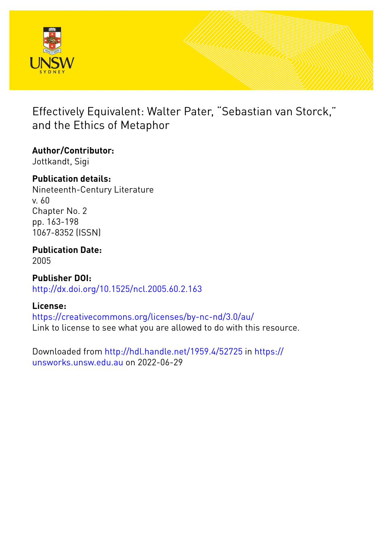

## Effectively Equivalent: Walter Pater, "Sebastian van Storck," and the Ethics of Metaphor

## **Author/Contributor:**

Jottkandt, Sigi

## **Publication details:**

Nineteenth-Century Literature v. 60 Chapter No. 2 pp. 163-198 1067-8352 (ISSN)

# **Publication Date:**

2005

**Publisher DOI:** [http://dx.doi.org/10.1525/ncl.2005.60.2.163](http://dx.doi.org/http://dx.doi.org/10.1525/ncl.2005.60.2.163)

## **License:**

<https://creativecommons.org/licenses/by-nc-nd/3.0/au/> Link to license to see what you are allowed to do with this resource.

Downloaded from <http://hdl.handle.net/1959.4/52725> in [https://](https://unsworks.unsw.edu.au) [unsworks.unsw.edu.au](https://unsworks.unsw.edu.au) on 2022-06-29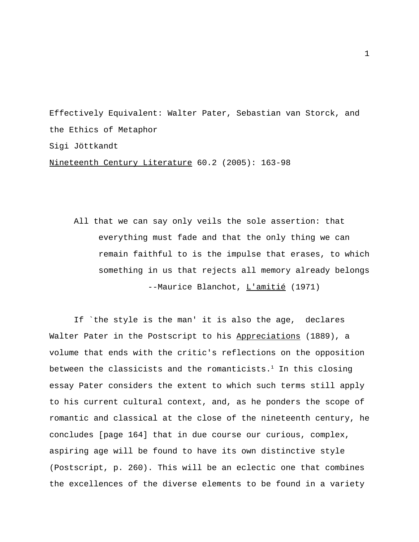Effectively Equivalent: Walter Pater, Sebastian van Storck, and the Ethics of Metaphor Sigi Jöttkandt

Nineteenth Century Literature 60.2 (2005): 163-98

All that we can say only veils the sole assertion: that everything must fade and that the only thing we can remain faithful to is the impulse that erases, to which something in us that rejects all memory already belongs --Maurice Blanchot, L'amitié (1971)

If `the style is the man' it is also the age, declares Walter Pater in the Postscript to his Appreciations (1889), a volume that ends with the critic's reflections on the opposition between the classicists and the romanticists. $1$  In this closing essay Pater considers the extent to which such terms still apply to his current cultural context, and, as he ponders the scope of romantic and classical at the close of the nineteenth century, he concludes [page 164] that in due course our curious, complex, aspiring age will be found to have its own distinctive style (Postscript, p. 260). This will be an eclectic one that combines the excellences of the diverse elements to be found in a variety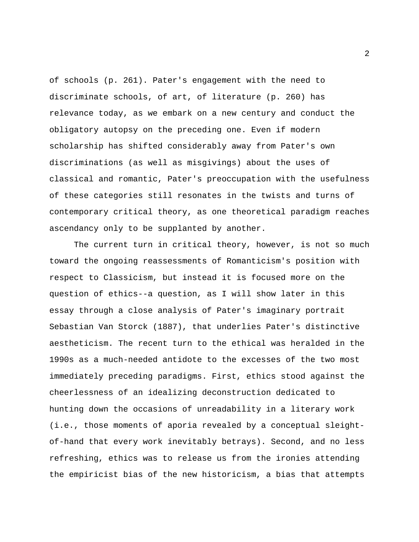of schools (p. 261). Pater's engagement with the need to discriminate schools, of art, of literature (p. 260) has relevance today, as we embark on a new century and conduct the obligatory autopsy on the preceding one. Even if modern scholarship has shifted considerably away from Pater's own discriminations (as well as misgivings) about the uses of classical and romantic, Pater's preoccupation with the usefulness of these categories still resonates in the twists and turns of contemporary critical theory, as one theoretical paradigm reaches ascendancy only to be supplanted by another.

The current turn in critical theory, however, is not so much toward the ongoing reassessments of Romanticism's position with respect to Classicism, but instead it is focused more on the question of ethics--a question, as I will show later in this essay through a close analysis of Pater's imaginary portrait Sebastian Van Storck (1887), that underlies Pater's distinctive aestheticism. The recent turn to the ethical was heralded in the 1990s as a much-needed antidote to the excesses of the two most immediately preceding paradigms. First, ethics stood against the cheerlessness of an idealizing deconstruction dedicated to hunting down the occasions of unreadability in a literary work (i.e., those moments of aporia revealed by a conceptual sleightof-hand that every work inevitably betrays). Second, and no less refreshing, ethics was to release us from the ironies attending the empiricist bias of the new historicism, a bias that attempts

2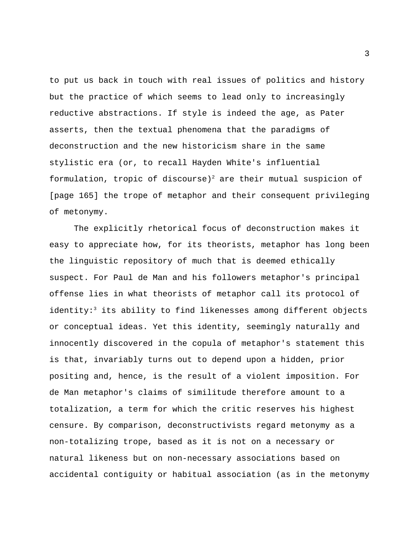to put us back in touch with real issues of politics and history but the practice of which seems to lead only to increasingly reductive abstractions. If style is indeed the age, as Pater asserts, then the textual phenomena that the paradigms of deconstruction and the new historicism share in the same stylistic era (or, to recall Hayden White's influential formulation, tropic of discourse)<sup>2</sup> are their mutual suspicion of [page 165] the trope of metaphor and their consequent privileging of metonymy.

The explicitly rhetorical focus of deconstruction makes it easy to appreciate how, for its theorists, metaphor has long been the linguistic repository of much that is deemed ethically suspect. For Paul de Man and his followers metaphor's principal offense lies in what theorists of metaphor call its protocol of identity:<sup>3</sup> its ability to find likenesses among different objects or conceptual ideas. Yet this identity, seemingly naturally and innocently discovered in the copula of metaphor's statement this is that, invariably turns out to depend upon a hidden, prior positing and, hence, is the result of a violent imposition. For de Man metaphor's claims of similitude therefore amount to a totalization, a term for which the critic reserves his highest censure. By comparison, deconstructivists regard metonymy as a non-totalizing trope, based as it is not on a necessary or natural likeness but on non-necessary associations based on accidental contiguity or habitual association (as in the metonymy

3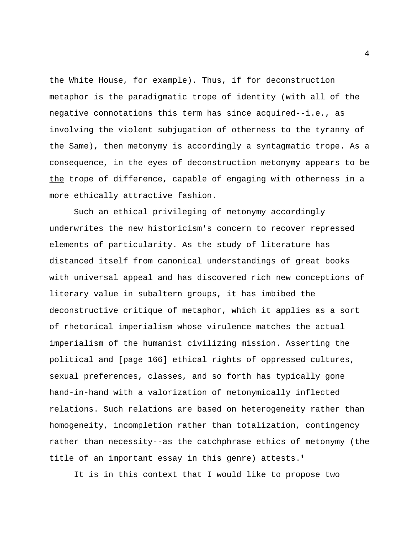the White House, for example). Thus, if for deconstruction metaphor is the paradigmatic trope of identity (with all of the negative connotations this term has since acquired--i.e., as involving the violent subjugation of otherness to the tyranny of the Same), then metonymy is accordingly a syntagmatic trope. As a consequence, in the eyes of deconstruction metonymy appears to be the trope of difference, capable of engaging with otherness in a more ethically attractive fashion.

Such an ethical privileging of metonymy accordingly underwrites the new historicism's concern to recover repressed elements of particularity. As the study of literature has distanced itself from canonical understandings of great books with universal appeal and has discovered rich new conceptions of literary value in subaltern groups, it has imbibed the deconstructive critique of metaphor, which it applies as a sort of rhetorical imperialism whose virulence matches the actual imperialism of the humanist civilizing mission. Asserting the political and [page 166] ethical rights of oppressed cultures, sexual preferences, classes, and so forth has typically gone hand-in-hand with a valorization of metonymically inflected relations. Such relations are based on heterogeneity rather than homogeneity, incompletion rather than totalization, contingency rather than necessity--as the catchphrase ethics of metonymy (the title of an important essay in this genre) attests.<sup>4</sup>

It is in this context that I would like to propose two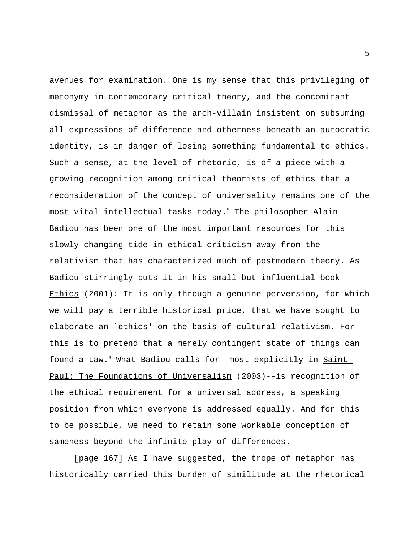avenues for examination. One is my sense that this privileging of metonymy in contemporary critical theory, and the concomitant dismissal of metaphor as the arch-villain insistent on subsuming all expressions of difference and otherness beneath an autocratic identity, is in danger of losing something fundamental to ethics. Such a sense, at the level of rhetoric, is of a piece with a growing recognition among critical theorists of ethics that a reconsideration of the concept of universality remains one of the most vital intellectual tasks today.<sup>5</sup> The philosopher Alain Badiou has been one of the most important resources for this slowly changing tide in ethical criticism away from the relativism that has characterized much of postmodern theory. As Badiou stirringly puts it in his small but influential book Ethics (2001): It is only through a genuine perversion, for which we will pay a terrible historical price, that we have sought to elaborate an `ethics' on the basis of cultural relativism. For this is to pretend that a merely contingent state of things can found a Law.<sup>6</sup> What Badiou calls for--most explicitly in Saint Paul: The Foundations of Universalism (2003)--is recognition of the ethical requirement for a universal address, a speaking position from which everyone is addressed equally. And for this to be possible, we need to retain some workable conception of sameness beyond the infinite play of differences.

[page 167] As I have suggested, the trope of metaphor has historically carried this burden of similitude at the rhetorical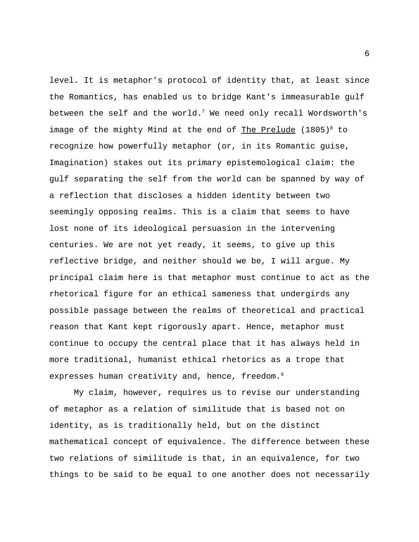level. It is metaphor's protocol of identity that, at least since the Romantics, has enabled us to bridge Kant's immeasurable gulf between the self and the world.<sup>7</sup> We need only recall Wordsworth's image of the mighty Mind at the end of The Prelude  $(1805)^8$  to recognize how powerfully metaphor (or, in its Romantic guise, Imagination) stakes out its primary epistemological claim: the gulf separating the self from the world can be spanned by way of a reflection that discloses a hidden identity between two seemingly opposing realms. This is a claim that seems to have lost none of its ideological persuasion in the intervening centuries. We are not yet ready, it seems, to give up this reflective bridge, and neither should we be, I will argue. My principal claim here is that metaphor must continue to act as the rhetorical figure for an ethical sameness that undergirds any possible passage between the realms of theoretical and practical reason that Kant kept rigorously apart. Hence, metaphor must continue to occupy the central place that it has always held in more traditional, humanist ethical rhetorics as a trope that expresses human creativity and, hence, freedom.<sup>9</sup>

My claim, however, requires us to revise our understanding of metaphor as a relation of similitude that is based not on identity, as is traditionally held, but on the distinct mathematical concept of equivalence. The difference between these two relations of similitude is that, in an equivalence, for two things to be said to be equal to one another does not necessarily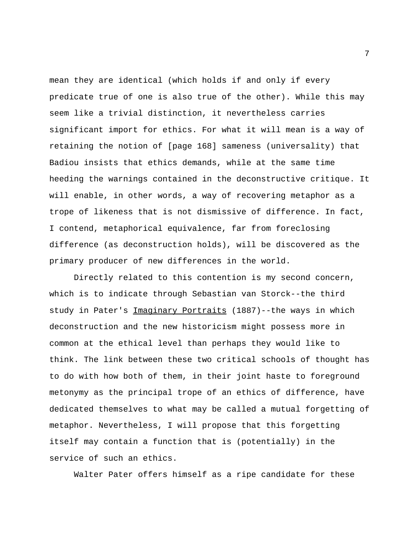mean they are identical (which holds if and only if every predicate true of one is also true of the other). While this may seem like a trivial distinction, it nevertheless carries significant import for ethics. For what it will mean is a way of retaining the notion of [page 168] sameness (universality) that Badiou insists that ethics demands, while at the same time heeding the warnings contained in the deconstructive critique. It will enable, in other words, a way of recovering metaphor as a trope of likeness that is not dismissive of difference. In fact, I contend, metaphorical equivalence, far from foreclosing difference (as deconstruction holds), will be discovered as the primary producer of new differences in the world.

Directly related to this contention is my second concern, which is to indicate through Sebastian van Storck--the third study in Pater's Imaginary Portraits (1887)--the ways in which deconstruction and the new historicism might possess more in common at the ethical level than perhaps they would like to think. The link between these two critical schools of thought has to do with how both of them, in their joint haste to foreground metonymy as the principal trope of an ethics of difference, have dedicated themselves to what may be called a mutual forgetting of metaphor. Nevertheless, I will propose that this forgetting itself may contain a function that is (potentially) in the service of such an ethics.

Walter Pater offers himself as a ripe candidate for these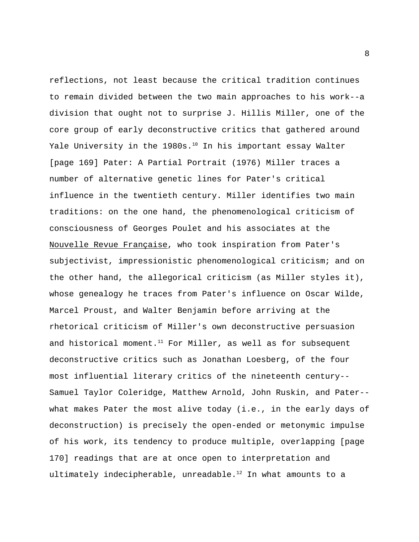reflections, not least because the critical tradition continues to remain divided between the two main approaches to his work--a division that ought not to surprise J. Hillis Miller, one of the core group of early deconstructive critics that gathered around Yale University in the 1980s.<sup>10</sup> In his important essay Walter [page 169] Pater: A Partial Portrait (1976) Miller traces a number of alternative genetic lines for Pater's critical influence in the twentieth century. Miller identifies two main traditions: on the one hand, the phenomenological criticism of consciousness of Georges Poulet and his associates at the Nouvelle Revue Française, who took inspiration from Pater's subjectivist, impressionistic phenomenological criticism; and on the other hand, the allegorical criticism (as Miller styles it), whose genealogy he traces from Pater's influence on Oscar Wilde, Marcel Proust, and Walter Benjamin before arriving at the rhetorical criticism of Miller's own deconstructive persuasion and historical moment.<sup>11</sup> For Miller, as well as for subsequent deconstructive critics such as Jonathan Loesberg, of the four most influential literary critics of the nineteenth century-- Samuel Taylor Coleridge, Matthew Arnold, John Ruskin, and Pater- what makes Pater the most alive today (i.e., in the early days of deconstruction) is precisely the open-ended or metonymic impulse of his work, its tendency to produce multiple, overlapping [page 170] readings that are at once open to interpretation and ultimately indecipherable, unreadable.<sup>12</sup> In what amounts to a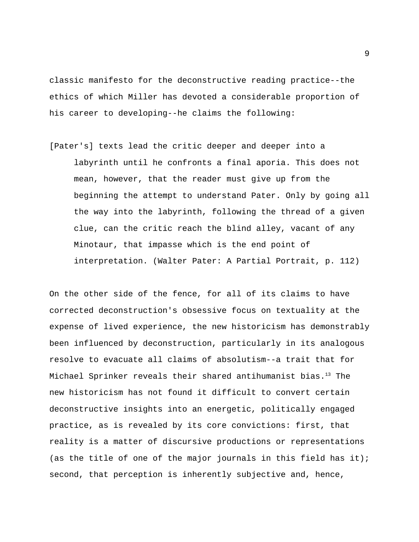classic manifesto for the deconstructive reading practice--the ethics of which Miller has devoted a considerable proportion of his career to developing--he claims the following:

[Pater's] texts lead the critic deeper and deeper into a labyrinth until he confronts a final aporia. This does not mean, however, that the reader must give up from the beginning the attempt to understand Pater. Only by going all the way into the labyrinth, following the thread of a given clue, can the critic reach the blind alley, vacant of any Minotaur, that impasse which is the end point of interpretation. (Walter Pater: A Partial Portrait, p. 112)

On the other side of the fence, for all of its claims to have corrected deconstruction's obsessive focus on textuality at the expense of lived experience, the new historicism has demonstrably been influenced by deconstruction, particularly in its analogous resolve to evacuate all claims of absolutism--a trait that for Michael Sprinker reveals their shared antihumanist bias.<sup>13</sup> The new historicism has not found it difficult to convert certain deconstructive insights into an energetic, politically engaged practice, as is revealed by its core convictions: first, that reality is a matter of discursive productions or representations (as the title of one of the major journals in this field has it); second, that perception is inherently subjective and, hence,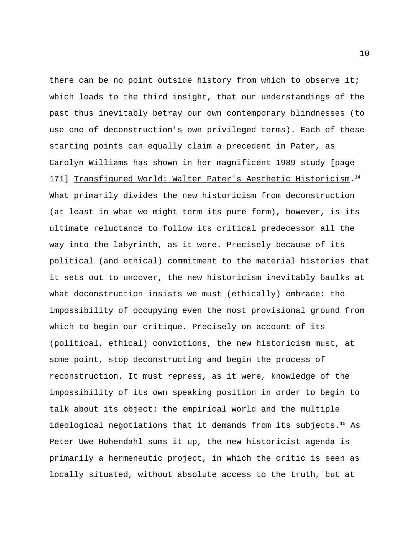there can be no point outside history from which to observe it; which leads to the third insight, that our understandings of the past thus inevitably betray our own contemporary blindnesses (to use one of deconstruction's own privileged terms). Each of these starting points can equally claim a precedent in Pater, as Carolyn Williams has shown in her magnificent 1989 study [page 171] Transfigured World: Walter Pater's Aesthetic Historicism. 14 What primarily divides the new historicism from deconstruction (at least in what we might term its pure form), however, is its ultimate reluctance to follow its critical predecessor all the way into the labyrinth, as it were. Precisely because of its political (and ethical) commitment to the material histories that it sets out to uncover, the new historicism inevitably baulks at what deconstruction insists we must (ethically) embrace: the impossibility of occupying even the most provisional ground from which to begin our critique. Precisely on account of its (political, ethical) convictions, the new historicism must, at some point, stop deconstructing and begin the process of reconstruction. It must repress, as it were, knowledge of the impossibility of its own speaking position in order to begin to talk about its object: the empirical world and the multiple ideological negotiations that it demands from its subjects.<sup>15</sup> As Peter Uwe Hohendahl sums it up, the new historicist agenda is primarily a hermeneutic project, in which the critic is seen as locally situated, without absolute access to the truth, but at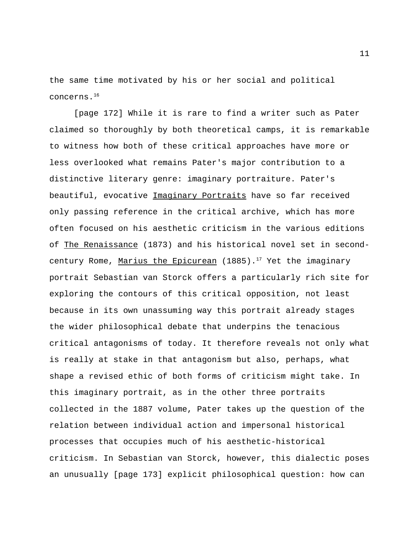the same time motivated by his or her social and political concerns.<sup>16</sup>

[page 172] While it is rare to find a writer such as Pater claimed so thoroughly by both theoretical camps, it is remarkable to witness how both of these critical approaches have more or less overlooked what remains Pater's major contribution to a distinctive literary genre: imaginary portraiture. Pater's beautiful, evocative Imaginary Portraits have so far received only passing reference in the critical archive, which has more often focused on his aesthetic criticism in the various editions of The Renaissance (1873) and his historical novel set in secondcentury Rome, Marius the Epicurean (1885).<sup>17</sup> Yet the imaginary portrait Sebastian van Storck offers a particularly rich site for exploring the contours of this critical opposition, not least because in its own unassuming way this portrait already stages the wider philosophical debate that underpins the tenacious critical antagonisms of today. It therefore reveals not only what is really at stake in that antagonism but also, perhaps, what shape a revised ethic of both forms of criticism might take. In this imaginary portrait, as in the other three portraits collected in the 1887 volume, Pater takes up the question of the relation between individual action and impersonal historical processes that occupies much of his aesthetic-historical criticism. In Sebastian van Storck, however, this dialectic poses an unusually [page 173] explicit philosophical question: how can

11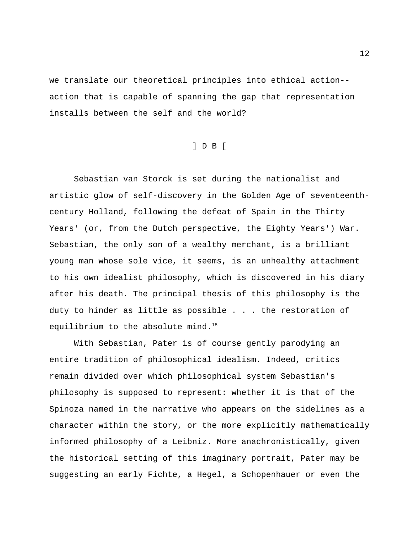we translate our theoretical principles into ethical action- action that is capable of spanning the gap that representation installs between the self and the world?

### ] D B [

Sebastian van Storck is set during the nationalist and artistic glow of self-discovery in the Golden Age of seventeenthcentury Holland, following the defeat of Spain in the Thirty Years' (or, from the Dutch perspective, the Eighty Years') War. Sebastian, the only son of a wealthy merchant, is a brilliant young man whose sole vice, it seems, is an unhealthy attachment to his own idealist philosophy, which is discovered in his diary after his death. The principal thesis of this philosophy is the duty to hinder as little as possible . . . the restoration of equilibrium to the absolute mind.<sup>18</sup>

With Sebastian, Pater is of course gently parodying an entire tradition of philosophical idealism. Indeed, critics remain divided over which philosophical system Sebastian's philosophy is supposed to represent: whether it is that of the Spinoza named in the narrative who appears on the sidelines as a character within the story, or the more explicitly mathematically informed philosophy of a Leibniz. More anachronistically, given the historical setting of this imaginary portrait, Pater may be suggesting an early Fichte, a Hegel, a Schopenhauer or even the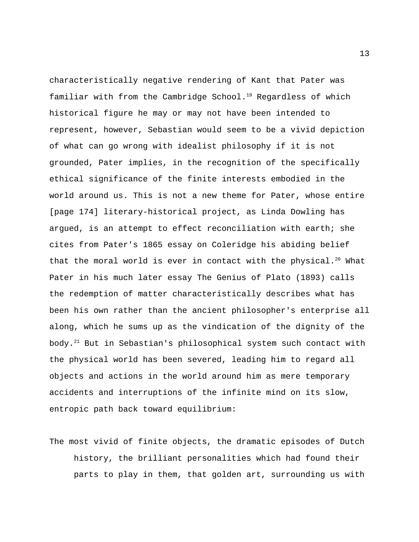characteristically negative rendering of Kant that Pater was familiar with from the Cambridge School.<sup>19</sup> Regardless of which historical figure he may or may not have been intended to represent, however, Sebastian would seem to be a vivid depiction of what can go wrong with idealist philosophy if it is not grounded, Pater implies, in the recognition of the specifically ethical significance of the finite interests embodied in the world around us. This is not a new theme for Pater, whose entire [page 174] literary-historical project, as Linda Dowling has argued, is an attempt to effect reconciliation with earth; she cites from Pater's 1865 essay on Coleridge his abiding belief that the moral world is ever in contact with the physical.<sup>20</sup> What Pater in his much later essay The Genius of Plato (1893) calls the redemption of matter characteristically describes what has been his own rather than the ancient philosopher's enterprise all along, which he sums up as the vindication of the dignity of the body.<sup>21</sup> But in Sebastian's philosophical system such contact with the physical world has been severed, leading him to regard all objects and actions in the world around him as mere temporary accidents and interruptions of the infinite mind on its slow, entropic path back toward equilibrium:

The most vivid of finite objects, the dramatic episodes of Dutch history, the brilliant personalities which had found their parts to play in them, that golden art, surrounding us with

13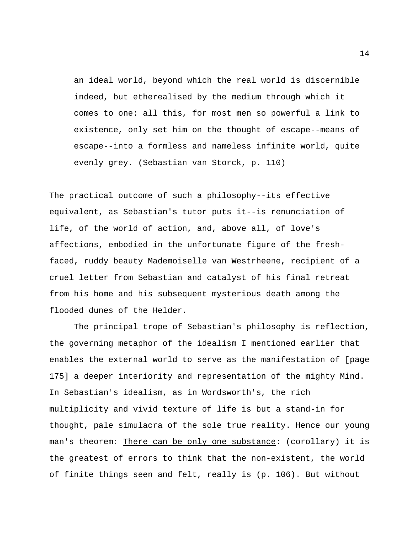an ideal world, beyond which the real world is discernible indeed, but etherealised by the medium through which it comes to one: all this, for most men so powerful a link to existence, only set him on the thought of escape--means of escape--into a formless and nameless infinite world, quite evenly grey. (Sebastian van Storck, p. 110)

The practical outcome of such a philosophy--its effective equivalent, as Sebastian's tutor puts it--is renunciation of life, of the world of action, and, above all, of love's affections, embodied in the unfortunate figure of the freshfaced, ruddy beauty Mademoiselle van Westrheene, recipient of a cruel letter from Sebastian and catalyst of his final retreat from his home and his subsequent mysterious death among the flooded dunes of the Helder.

The principal trope of Sebastian's philosophy is reflection, the governing metaphor of the idealism I mentioned earlier that enables the external world to serve as the manifestation of [page 175] a deeper interiority and representation of the mighty Mind. In Sebastian's idealism, as in Wordsworth's, the rich multiplicity and vivid texture of life is but a stand-in for thought, pale simulacra of the sole true reality. Hence our young man's theorem: There can be only one substance: (corollary) it is the greatest of errors to think that the non-existent, the world of finite things seen and felt, really is (p. 106). But without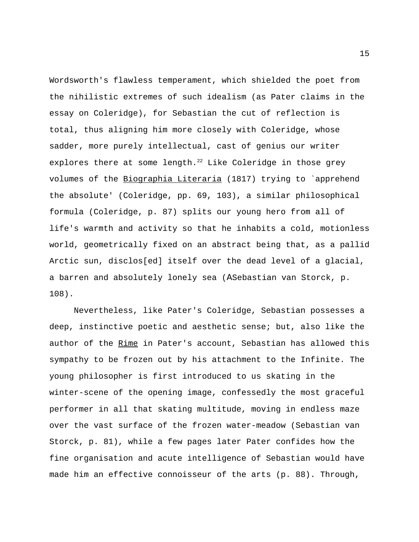Wordsworth's flawless temperament, which shielded the poet from the nihilistic extremes of such idealism (as Pater claims in the essay on Coleridge), for Sebastian the cut of reflection is total, thus aligning him more closely with Coleridge, whose sadder, more purely intellectual, cast of genius our writer explores there at some length.<sup>22</sup> Like Coleridge in those grey volumes of the Biographia Literaria (1817) trying to `apprehend the absolute' (Coleridge, pp. 69, 103), a similar philosophical formula (Coleridge, p. 87) splits our young hero from all of life's warmth and activity so that he inhabits a cold, motionless world, geometrically fixed on an abstract being that, as a pallid Arctic sun, disclos[ed] itself over the dead level of a glacial, a barren and absolutely lonely sea (ASebastian van Storck, p. 108).

Nevertheless, like Pater's Coleridge, Sebastian possesses a deep, instinctive poetic and aesthetic sense; but, also like the author of the Rime in Pater's account, Sebastian has allowed this sympathy to be frozen out by his attachment to the Infinite. The young philosopher is first introduced to us skating in the winter-scene of the opening image, confessedly the most graceful performer in all that skating multitude, moving in endless maze over the vast surface of the frozen water-meadow (Sebastian van Storck, p. 81), while a few pages later Pater confides how the fine organisation and acute intelligence of Sebastian would have made him an effective connoisseur of the arts (p. 88). Through,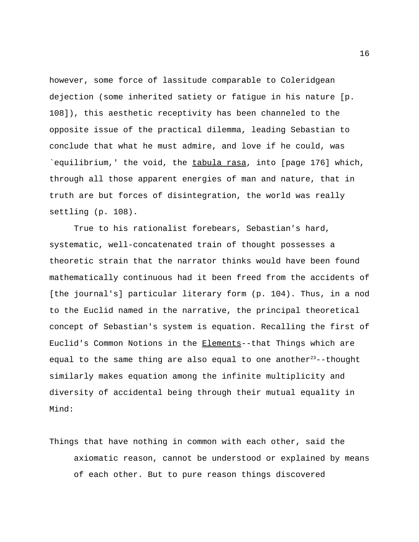however, some force of lassitude comparable to Coleridgean dejection (some inherited satiety or fatigue in his nature [p. 108]), this aesthetic receptivity has been channeled to the opposite issue of the practical dilemma, leading Sebastian to conclude that what he must admire, and love if he could, was `equilibrium,' the void, the tabula rasa, into [page 176] which, through all those apparent energies of man and nature, that in truth are but forces of disintegration, the world was really settling (p. 108).

True to his rationalist forebears, Sebastian's hard, systematic, well-concatenated train of thought possesses a theoretic strain that the narrator thinks would have been found mathematically continuous had it been freed from the accidents of [the journal's] particular literary form (p. 104). Thus, in a nod to the Euclid named in the narrative, the principal theoretical concept of Sebastian's system is equation. Recalling the first of Euclid's Common Notions in the Elements--that Things which are equal to the same thing are also equal to one another<sup>23</sup>--thought similarly makes equation among the infinite multiplicity and diversity of accidental being through their mutual equality in Mind:

Things that have nothing in common with each other, said the axiomatic reason, cannot be understood or explained by means of each other. But to pure reason things discovered

16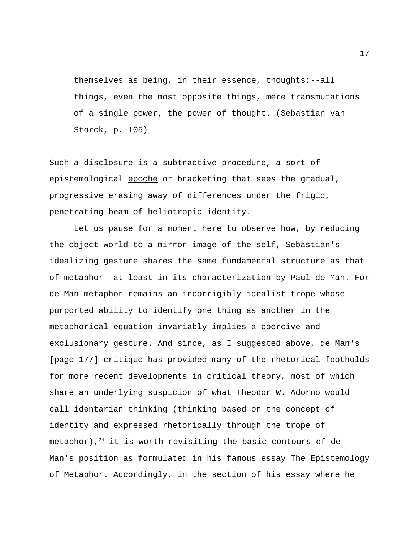themselves as being, in their essence, thoughts:--all things, even the most opposite things, mere transmutations of a single power, the power of thought. (Sebastian van Storck, p. 105)

Such a disclosure is a subtractive procedure, a sort of epistemological epoché or bracketing that sees the gradual, progressive erasing away of differences under the frigid, penetrating beam of heliotropic identity.

Let us pause for a moment here to observe how, by reducing the object world to a mirror-image of the self, Sebastian's idealizing gesture shares the same fundamental structure as that of metaphor--at least in its characterization by Paul de Man. For de Man metaphor remains an incorrigibly idealist trope whose purported ability to identify one thing as another in the metaphorical equation invariably implies a coercive and exclusionary gesture. And since, as I suggested above, de Man's [page 177] critique has provided many of the rhetorical footholds for more recent developments in critical theory, most of which share an underlying suspicion of what Theodor W. Adorno would call identarian thinking (thinking based on the concept of identity and expressed rhetorically through the trope of metaphor), $24$  it is worth revisiting the basic contours of de Man's position as formulated in his famous essay The Epistemology of Metaphor. Accordingly, in the section of his essay where he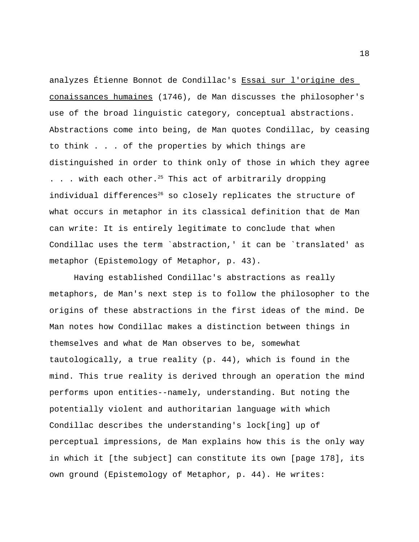analyzes Étienne Bonnot de Condillac's Essai sur l'origine des conaissances humaines (1746), de Man discusses the philosopher's use of the broad linguistic category, conceptual abstractions. Abstractions come into being, de Man quotes Condillac, by ceasing to think . . . of the properties by which things are distinguished in order to think only of those in which they agree  $\ldots$  . with each other.<sup>25</sup> This act of arbitrarily dropping individual differences<sup>26</sup> so closely replicates the structure of what occurs in metaphor in its classical definition that de Man can write: It is entirely legitimate to conclude that when Condillac uses the term `abstraction,' it can be `translated' as metaphor (Epistemology of Metaphor, p. 43).

Having established Condillac's abstractions as really metaphors, de Man's next step is to follow the philosopher to the origins of these abstractions in the first ideas of the mind. De Man notes how Condillac makes a distinction between things in themselves and what de Man observes to be, somewhat tautologically, a true reality (p. 44), which is found in the mind. This true reality is derived through an operation the mind performs upon entities--namely, understanding. But noting the potentially violent and authoritarian language with which Condillac describes the understanding's lock[ing] up of perceptual impressions, de Man explains how this is the only way in which it [the subject] can constitute its own [page 178], its own ground (Epistemology of Metaphor, p. 44). He writes: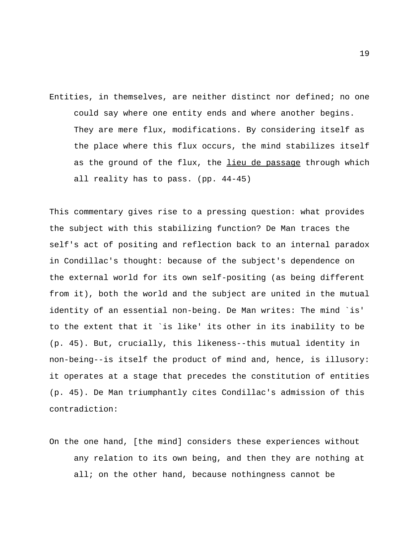Entities, in themselves, are neither distinct nor defined; no one could say where one entity ends and where another begins. They are mere flux, modifications. By considering itself as the place where this flux occurs, the mind stabilizes itself as the ground of the flux, the lieu de passage through which all reality has to pass. (pp. 44-45)

This commentary gives rise to a pressing question: what provides the subject with this stabilizing function? De Man traces the self's act of positing and reflection back to an internal paradox in Condillac's thought: because of the subject's dependence on the external world for its own self-positing (as being different from it), both the world and the subject are united in the mutual identity of an essential non-being. De Man writes: The mind `is' to the extent that it `is like' its other in its inability to be (p. 45). But, crucially, this likeness--this mutual identity in non-being--is itself the product of mind and, hence, is illusory: it operates at a stage that precedes the constitution of entities (p. 45). De Man triumphantly cites Condillac's admission of this contradiction:

On the one hand, [the mind] considers these experiences without any relation to its own being, and then they are nothing at all; on the other hand, because nothingness cannot be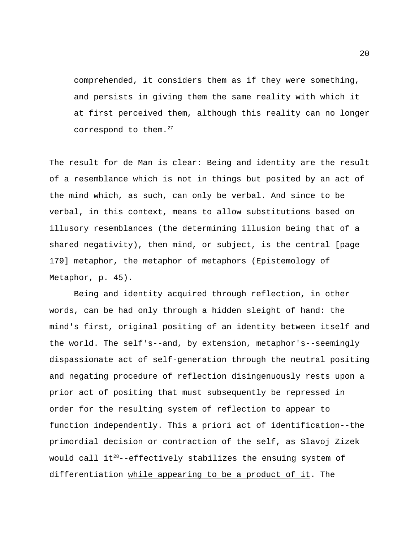comprehended, it considers them as if they were something, and persists in giving them the same reality with which it at first perceived them, although this reality can no longer correspond to them.<sup>27</sup>

The result for de Man is clear: Being and identity are the result of a resemblance which is not in things but posited by an act of the mind which, as such, can only be verbal. And since to be verbal, in this context, means to allow substitutions based on illusory resemblances (the determining illusion being that of a shared negativity), then mind, or subject, is the central [page 179] metaphor, the metaphor of metaphors (Epistemology of Metaphor, p. 45).

Being and identity acquired through reflection, in other words, can be had only through a hidden sleight of hand: the mind's first, original positing of an identity between itself and the world. The self's--and, by extension, metaphor's--seemingly dispassionate act of self-generation through the neutral positing and negating procedure of reflection disingenuously rests upon a prior act of positing that must subsequently be repressed in order for the resulting system of reflection to appear to function independently. This a priori act of identification--the primordial decision or contraction of the self, as Slavoj Zizek would call  $it^{28}$ --effectively stabilizes the ensuing system of differentiation while appearing to be a product of it. The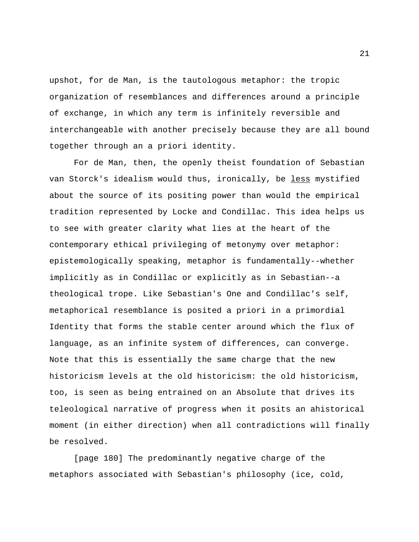upshot, for de Man, is the tautologous metaphor: the tropic organization of resemblances and differences around a principle of exchange, in which any term is infinitely reversible and interchangeable with another precisely because they are all bound together through an a priori identity.

For de Man, then, the openly theist foundation of Sebastian van Storck's idealism would thus, ironically, be less mystified about the source of its positing power than would the empirical tradition represented by Locke and Condillac. This idea helps us to see with greater clarity what lies at the heart of the contemporary ethical privileging of metonymy over metaphor: epistemologically speaking, metaphor is fundamentally--whether implicitly as in Condillac or explicitly as in Sebastian--a theological trope. Like Sebastian's One and Condillac's self, metaphorical resemblance is posited a priori in a primordial Identity that forms the stable center around which the flux of language, as an infinite system of differences, can converge. Note that this is essentially the same charge that the new historicism levels at the old historicism: the old historicism, too, is seen as being entrained on an Absolute that drives its teleological narrative of progress when it posits an ahistorical moment (in either direction) when all contradictions will finally be resolved.

[page 180] The predominantly negative charge of the metaphors associated with Sebastian's philosophy (ice, cold, 21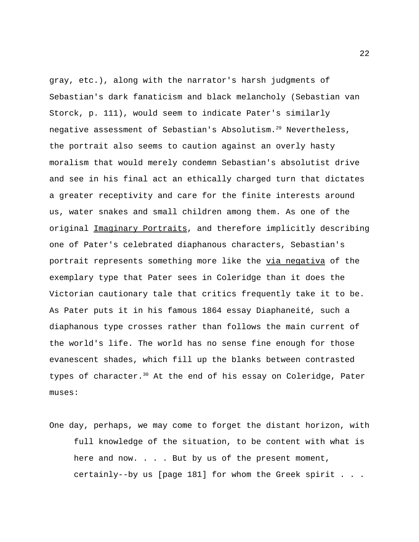gray, etc.), along with the narrator's harsh judgments of Sebastian's dark fanaticism and black melancholy (Sebastian van Storck, p. 111), would seem to indicate Pater's similarly negative assessment of Sebastian's Absolutism.<sup>29</sup> Nevertheless, the portrait also seems to caution against an overly hasty moralism that would merely condemn Sebastian's absolutist drive and see in his final act an ethically charged turn that dictates a greater receptivity and care for the finite interests around us, water snakes and small children among them. As one of the original Imaginary Portraits, and therefore implicitly describing one of Pater's celebrated diaphanous characters, Sebastian's portrait represents something more like the via negativa of the exemplary type that Pater sees in Coleridge than it does the Victorian cautionary tale that critics frequently take it to be. As Pater puts it in his famous 1864 essay Diaphaneité, such a diaphanous type crosses rather than follows the main current of the world's life. The world has no sense fine enough for those evanescent shades, which fill up the blanks between contrasted types of character.<sup>30</sup> At the end of his essay on Coleridge, Pater muses:

One day, perhaps, we may come to forget the distant horizon, with full knowledge of the situation, to be content with what is here and now. . . . But by us of the present moment, certainly--by us [page 181] for whom the Greek spirit . . .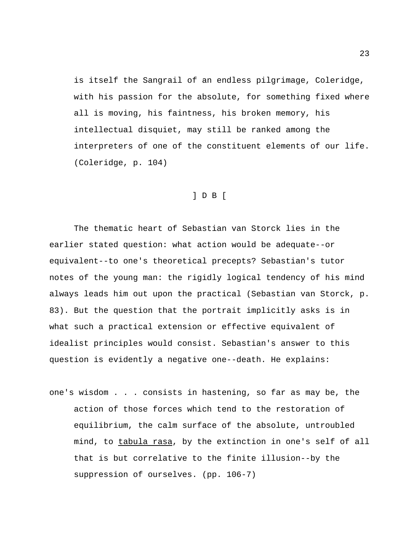is itself the Sangrail of an endless pilgrimage, Coleridge, with his passion for the absolute, for something fixed where all is moving, his faintness, his broken memory, his intellectual disquiet, may still be ranked among the interpreters of one of the constituent elements of our life. (Coleridge, p. 104)

### ] D B [

The thematic heart of Sebastian van Storck lies in the earlier stated question: what action would be adequate--or equivalent--to one's theoretical precepts? Sebastian's tutor notes of the young man: the rigidly logical tendency of his mind always leads him out upon the practical (Sebastian van Storck, p. 83). But the question that the portrait implicitly asks is in what such a practical extension or effective equivalent of idealist principles would consist. Sebastian's answer to this question is evidently a negative one--death. He explains:

one's wisdom . . . consists in hastening, so far as may be, the action of those forces which tend to the restoration of equilibrium, the calm surface of the absolute, untroubled mind, to tabula rasa, by the extinction in one's self of all that is but correlative to the finite illusion--by the suppression of ourselves. (pp. 106-7)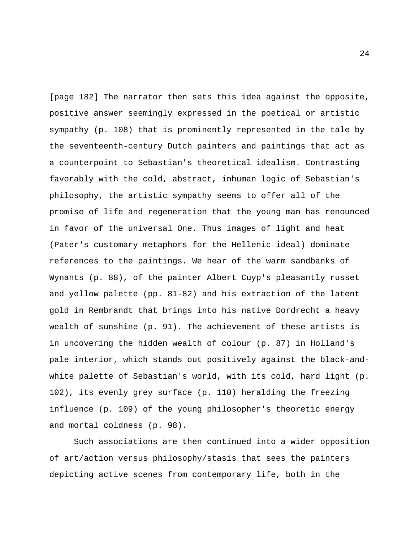[page 182] The narrator then sets this idea against the opposite, positive answer seemingly expressed in the poetical or artistic sympathy (p. 108) that is prominently represented in the tale by the seventeenth-century Dutch painters and paintings that act as a counterpoint to Sebastian's theoretical idealism. Contrasting favorably with the cold, abstract, inhuman logic of Sebastian's philosophy, the artistic sympathy seems to offer all of the promise of life and regeneration that the young man has renounced in favor of the universal One. Thus images of light and heat (Pater's customary metaphors for the Hellenic ideal) dominate references to the paintings. We hear of the warm sandbanks of Wynants (p. 88), of the painter Albert Cuyp's pleasantly russet and yellow palette (pp. 81-82) and his extraction of the latent gold in Rembrandt that brings into his native Dordrecht a heavy wealth of sunshine (p. 91). The achievement of these artists is in uncovering the hidden wealth of colour (p. 87) in Holland's pale interior, which stands out positively against the black-andwhite palette of Sebastian's world, with its cold, hard light (p. 102), its evenly grey surface (p. 110) heralding the freezing influence (p. 109) of the young philosopher's theoretic energy and mortal coldness (p. 98).

Such associations are then continued into a wider opposition of art/action versus philosophy/stasis that sees the painters depicting active scenes from contemporary life, both in the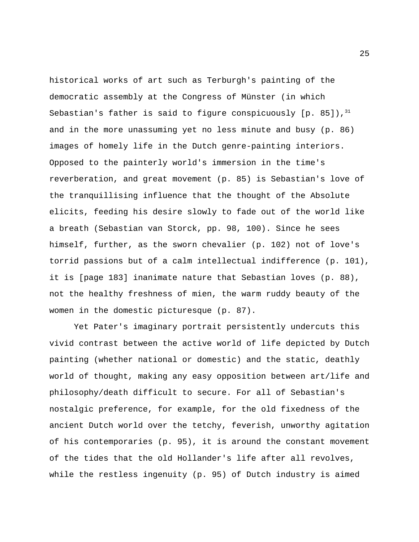historical works of art such as Terburgh's painting of the democratic assembly at the Congress of Münster (in which Sebastian's father is said to figure conspicuously  $[p, 85]$ ,  $31$ and in the more unassuming yet no less minute and busy (p. 86) images of homely life in the Dutch genre-painting interiors. Opposed to the painterly world's immersion in the time's reverberation, and great movement (p. 85) is Sebastian's love of the tranquillising influence that the thought of the Absolute elicits, feeding his desire slowly to fade out of the world like a breath (Sebastian van Storck, pp. 98, 100). Since he sees himself, further, as the sworn chevalier (p. 102) not of love's torrid passions but of a calm intellectual indifference (p. 101), it is [page 183] inanimate nature that Sebastian loves (p. 88), not the healthy freshness of mien, the warm ruddy beauty of the women in the domestic picturesque (p. 87).

Yet Pater's imaginary portrait persistently undercuts this vivid contrast between the active world of life depicted by Dutch painting (whether national or domestic) and the static, deathly world of thought, making any easy opposition between art/life and philosophy/death difficult to secure. For all of Sebastian's nostalgic preference, for example, for the old fixedness of the ancient Dutch world over the tetchy, feverish, unworthy agitation of his contemporaries (p. 95), it is around the constant movement of the tides that the old Hollander's life after all revolves, while the restless ingenuity (p. 95) of Dutch industry is aimed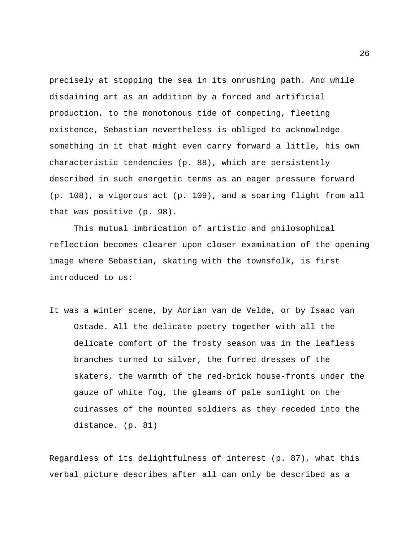precisely at stopping the sea in its onrushing path. And while disdaining art as an addition by a forced and artificial production, to the monotonous tide of competing, fleeting existence, Sebastian nevertheless is obliged to acknowledge something in it that might even carry forward a little, his own characteristic tendencies (p. 88), which are persistently described in such energetic terms as an eager pressure forward (p. 108), a vigorous act (p. 109), and a soaring flight from all that was positive (p. 98).

This mutual imbrication of artistic and philosophical reflection becomes clearer upon closer examination of the opening image where Sebastian, skating with the townsfolk, is first introduced to us:

It was a winter scene, by Adrian van de Velde, or by Isaac van Ostade. All the delicate poetry together with all the delicate comfort of the frosty season was in the leafless branches turned to silver, the furred dresses of the skaters, the warmth of the red-brick house-fronts under the gauze of white fog, the gleams of pale sunlight on the cuirasses of the mounted soldiers as they receded into the distance. (p. 81)

Regardless of its delightfulness of interest (p. 87), what this verbal picture describes after all can only be described as a

26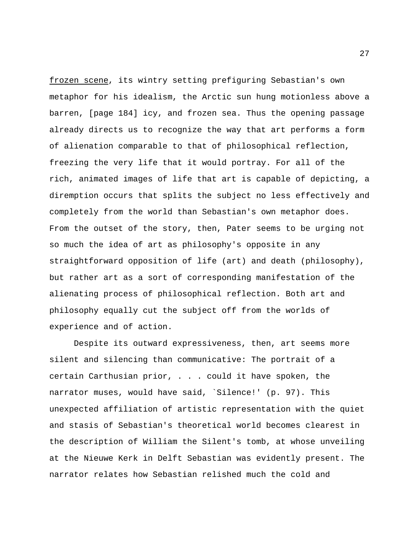frozen scene, its wintry setting prefiguring Sebastian's own metaphor for his idealism, the Arctic sun hung motionless above a barren, [page 184] icy, and frozen sea. Thus the opening passage already directs us to recognize the way that art performs a form of alienation comparable to that of philosophical reflection, freezing the very life that it would portray. For all of the rich, animated images of life that art is capable of depicting, a diremption occurs that splits the subject no less effectively and completely from the world than Sebastian's own metaphor does. From the outset of the story, then, Pater seems to be urging not so much the idea of art as philosophy's opposite in any straightforward opposition of life (art) and death (philosophy), but rather art as a sort of corresponding manifestation of the alienating process of philosophical reflection. Both art and philosophy equally cut the subject off from the worlds of experience and of action.

Despite its outward expressiveness, then, art seems more silent and silencing than communicative: The portrait of a certain Carthusian prior, . . . could it have spoken, the narrator muses, would have said, `Silence!' (p. 97). This unexpected affiliation of artistic representation with the quiet and stasis of Sebastian's theoretical world becomes clearest in the description of William the Silent's tomb, at whose unveiling at the Nieuwe Kerk in Delft Sebastian was evidently present. The narrator relates how Sebastian relished much the cold and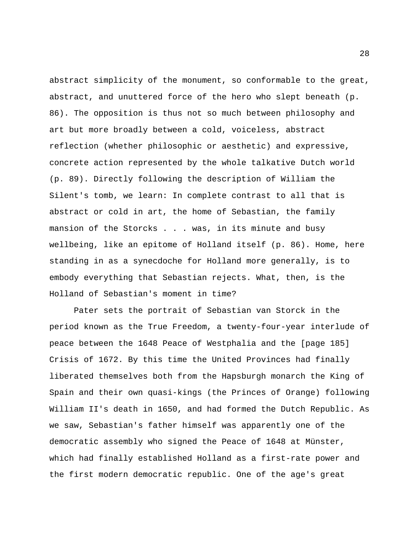abstract simplicity of the monument, so conformable to the great, abstract, and unuttered force of the hero who slept beneath (p. 86). The opposition is thus not so much between philosophy and art but more broadly between a cold, voiceless, abstract reflection (whether philosophic or aesthetic) and expressive, concrete action represented by the whole talkative Dutch world (p. 89). Directly following the description of William the Silent's tomb, we learn: In complete contrast to all that is abstract or cold in art, the home of Sebastian, the family mansion of the Storcks . . . was, in its minute and busy wellbeing, like an epitome of Holland itself (p. 86). Home, here standing in as a synecdoche for Holland more generally, is to embody everything that Sebastian rejects. What, then, is the Holland of Sebastian's moment in time?

Pater sets the portrait of Sebastian van Storck in the period known as the True Freedom, a twenty-four-year interlude of peace between the 1648 Peace of Westphalia and the [page 185] Crisis of 1672. By this time the United Provinces had finally liberated themselves both from the Hapsburgh monarch the King of Spain and their own quasi-kings (the Princes of Orange) following William II's death in 1650, and had formed the Dutch Republic. As we saw, Sebastian's father himself was apparently one of the democratic assembly who signed the Peace of 1648 at Münster, which had finally established Holland as a first-rate power and the first modern democratic republic. One of the age's great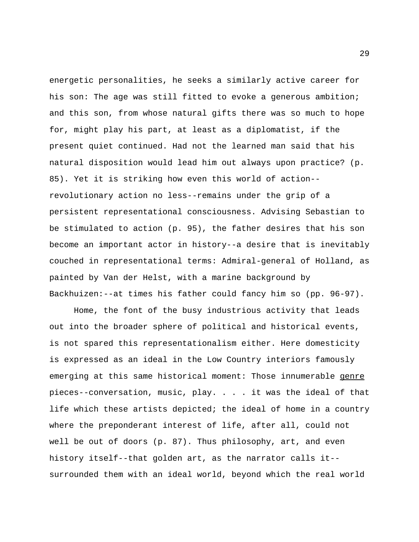energetic personalities, he seeks a similarly active career for his son: The age was still fitted to evoke a generous ambition; and this son, from whose natural gifts there was so much to hope for, might play his part, at least as a diplomatist, if the present quiet continued. Had not the learned man said that his natural disposition would lead him out always upon practice? (p. 85). Yet it is striking how even this world of action- revolutionary action no less--remains under the grip of a persistent representational consciousness. Advising Sebastian to be stimulated to action (p. 95), the father desires that his son become an important actor in history--a desire that is inevitably couched in representational terms: Admiral-general of Holland, as painted by Van der Helst, with a marine background by Backhuizen:--at times his father could fancy him so (pp. 96-97).

Home, the font of the busy industrious activity that leads out into the broader sphere of political and historical events, is not spared this representationalism either. Here domesticity is expressed as an ideal in the Low Country interiors famously emerging at this same historical moment: Those innumerable genre pieces--conversation, music, play. . . . it was the ideal of that life which these artists depicted; the ideal of home in a country where the preponderant interest of life, after all, could not well be out of doors (p. 87). Thus philosophy, art, and even history itself--that golden art, as the narrator calls it- surrounded them with an ideal world, beyond which the real world

29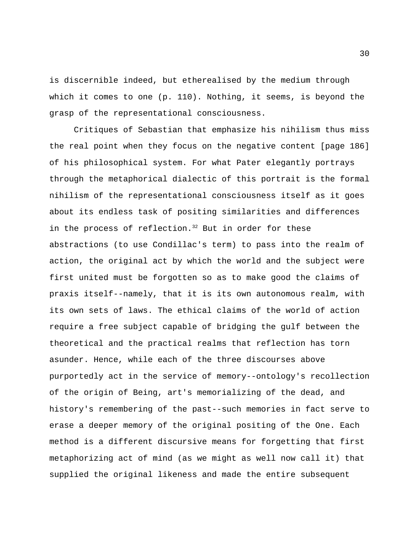is discernible indeed, but etherealised by the medium through which it comes to one (p. 110). Nothing, it seems, is beyond the grasp of the representational consciousness.

Critiques of Sebastian that emphasize his nihilism thus miss the real point when they focus on the negative content [page 186] of his philosophical system. For what Pater elegantly portrays through the metaphorical dialectic of this portrait is the formal nihilism of the representational consciousness itself as it goes about its endless task of positing similarities and differences in the process of reflection. $32$  But in order for these abstractions (to use Condillac's term) to pass into the realm of action, the original act by which the world and the subject were first united must be forgotten so as to make good the claims of praxis itself--namely, that it is its own autonomous realm, with its own sets of laws. The ethical claims of the world of action require a free subject capable of bridging the gulf between the theoretical and the practical realms that reflection has torn asunder. Hence, while each of the three discourses above purportedly act in the service of memory--ontology's recollection of the origin of Being, art's memorializing of the dead, and history's remembering of the past--such memories in fact serve to erase a deeper memory of the original positing of the One. Each method is a different discursive means for forgetting that first metaphorizing act of mind (as we might as well now call it) that supplied the original likeness and made the entire subsequent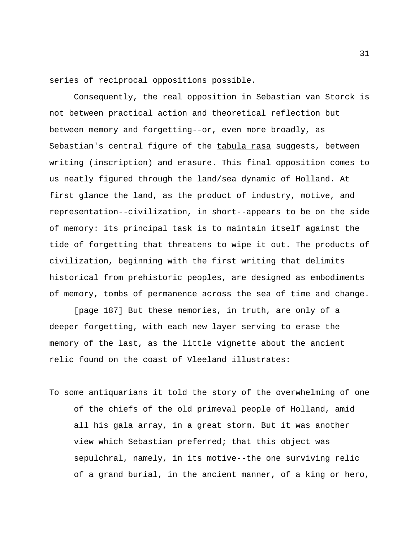series of reciprocal oppositions possible.

Consequently, the real opposition in Sebastian van Storck is not between practical action and theoretical reflection but between memory and forgetting--or, even more broadly, as Sebastian's central figure of the tabula rasa suggests, between writing (inscription) and erasure. This final opposition comes to us neatly figured through the land/sea dynamic of Holland. At first glance the land, as the product of industry, motive, and representation--civilization, in short--appears to be on the side of memory: its principal task is to maintain itself against the tide of forgetting that threatens to wipe it out. The products of civilization, beginning with the first writing that delimits historical from prehistoric peoples, are designed as embodiments of memory, tombs of permanence across the sea of time and change.

[page 187] But these memories, in truth, are only of a deeper forgetting, with each new layer serving to erase the memory of the last, as the little vignette about the ancient relic found on the coast of Vleeland illustrates:

To some antiquarians it told the story of the overwhelming of one of the chiefs of the old primeval people of Holland, amid all his gala array, in a great storm. But it was another view which Sebastian preferred; that this object was sepulchral, namely, in its motive--the one surviving relic of a grand burial, in the ancient manner, of a king or hero,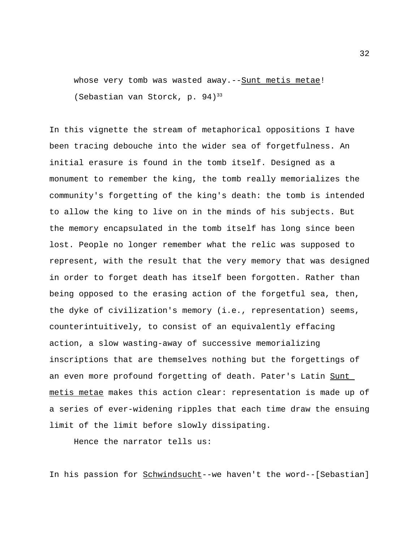whose very tomb was wasted away. -- Sunt metis metae! (Sebastian van Storck, p. 94)<sup>33</sup>

In this vignette the stream of metaphorical oppositions I have been tracing debouche into the wider sea of forgetfulness. An initial erasure is found in the tomb itself. Designed as a monument to remember the king, the tomb really memorializes the community's forgetting of the king's death: the tomb is intended to allow the king to live on in the minds of his subjects. But the memory encapsulated in the tomb itself has long since been lost. People no longer remember what the relic was supposed to represent, with the result that the very memory that was designed in order to forget death has itself been forgotten. Rather than being opposed to the erasing action of the forgetful sea, then, the dyke of civilization's memory (i.e., representation) seems, counterintuitively, to consist of an equivalently effacing action, a slow wasting-away of successive memorializing inscriptions that are themselves nothing but the forgettings of an even more profound forgetting of death. Pater's Latin Sunt metis metae makes this action clear: representation is made up of a series of ever-widening ripples that each time draw the ensuing limit of the limit before slowly dissipating.

Hence the narrator tells us:

In his passion for Schwindsucht--we haven't the word--[Sebastian]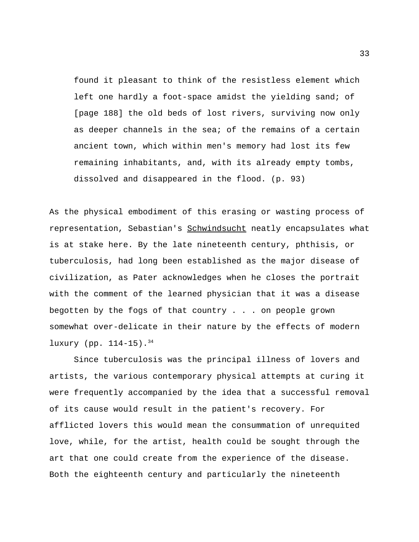found it pleasant to think of the resistless element which left one hardly a foot-space amidst the yielding sand; of [page 188] the old beds of lost rivers, surviving now only as deeper channels in the sea; of the remains of a certain ancient town, which within men's memory had lost its few remaining inhabitants, and, with its already empty tombs, dissolved and disappeared in the flood. (p. 93)

As the physical embodiment of this erasing or wasting process of representation, Sebastian's Schwindsucht neatly encapsulates what is at stake here. By the late nineteenth century, phthisis, or tuberculosis, had long been established as the major disease of civilization, as Pater acknowledges when he closes the portrait with the comment of the learned physician that it was a disease begotten by the fogs of that country . . . on people grown somewhat over-delicate in their nature by the effects of modern luxury (pp.  $114-15$ ).  $34$ 

Since tuberculosis was the principal illness of lovers and artists, the various contemporary physical attempts at curing it were frequently accompanied by the idea that a successful removal of its cause would result in the patient's recovery. For afflicted lovers this would mean the consummation of unrequited love, while, for the artist, health could be sought through the art that one could create from the experience of the disease. Both the eighteenth century and particularly the nineteenth

33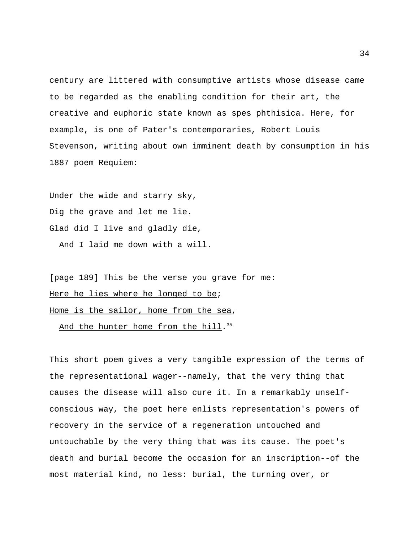century are littered with consumptive artists whose disease came to be regarded as the enabling condition for their art, the creative and euphoric state known as spes phthisica. Here, for example, is one of Pater's contemporaries, Robert Louis Stevenson, writing about own imminent death by consumption in his 1887 poem Requiem:

Under the wide and starry sky, Dig the grave and let me lie. Glad did I live and gladly die,

And I laid me down with a will.

[page 189] This be the verse you grave for me: Here he lies where he longed to be; Home is the sailor, home from the sea,

And the hunter home from the hill.<sup>35</sup>

This short poem gives a very tangible expression of the terms of the representational wager--namely, that the very thing that causes the disease will also cure it. In a remarkably unselfconscious way, the poet here enlists representation's powers of recovery in the service of a regeneration untouched and untouchable by the very thing that was its cause. The poet's death and burial become the occasion for an inscription--of the most material kind, no less: burial, the turning over, or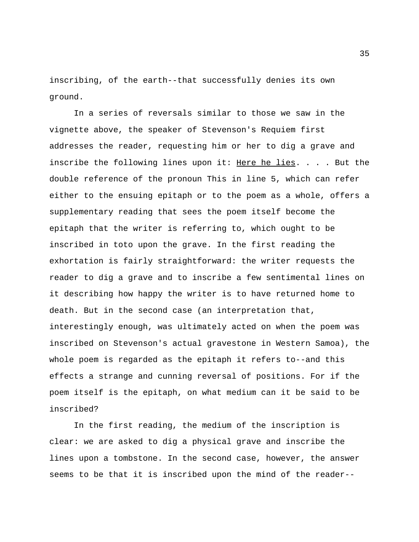inscribing, of the earth--that successfully denies its own ground.

In a series of reversals similar to those we saw in the vignette above, the speaker of Stevenson's Requiem first addresses the reader, requesting him or her to dig a grave and inscribe the following lines upon it: Here he lies. . . . But the double reference of the pronoun This in line 5, which can refer either to the ensuing epitaph or to the poem as a whole, offers a supplementary reading that sees the poem itself become the epitaph that the writer is referring to, which ought to be inscribed in toto upon the grave. In the first reading the exhortation is fairly straightforward: the writer requests the reader to dig a grave and to inscribe a few sentimental lines on it describing how happy the writer is to have returned home to death. But in the second case (an interpretation that, interestingly enough, was ultimately acted on when the poem was inscribed on Stevenson's actual gravestone in Western Samoa), the whole poem is regarded as the epitaph it refers to--and this effects a strange and cunning reversal of positions. For if the poem itself is the epitaph, on what medium can it be said to be inscribed?

In the first reading, the medium of the inscription is clear: we are asked to dig a physical grave and inscribe the lines upon a tombstone. In the second case, however, the answer seems to be that it is inscribed upon the mind of the reader--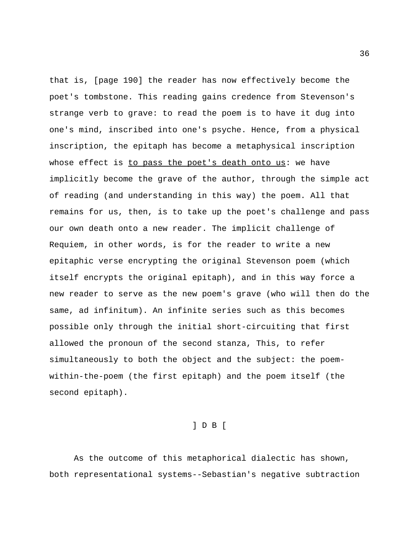that is, [page 190] the reader has now effectively become the poet's tombstone. This reading gains credence from Stevenson's strange verb to grave: to read the poem is to have it dug into one's mind, inscribed into one's psyche. Hence, from a physical inscription, the epitaph has become a metaphysical inscription whose effect is to pass the poet's death onto us: we have implicitly become the grave of the author, through the simple act of reading (and understanding in this way) the poem. All that remains for us, then, is to take up the poet's challenge and pass our own death onto a new reader. The implicit challenge of Requiem, in other words, is for the reader to write a new epitaphic verse encrypting the original Stevenson poem (which itself encrypts the original epitaph), and in this way force a new reader to serve as the new poem's grave (who will then do the same, ad infinitum). An infinite series such as this becomes possible only through the initial short-circuiting that first allowed the pronoun of the second stanza, This, to refer simultaneously to both the object and the subject: the poemwithin-the-poem (the first epitaph) and the poem itself (the second epitaph).

### ] D B [

As the outcome of this metaphorical dialectic has shown, both representational systems--Sebastian's negative subtraction

36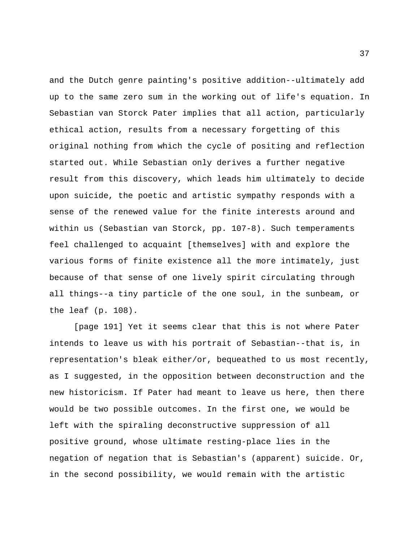and the Dutch genre painting's positive addition--ultimately add up to the same zero sum in the working out of life's equation. In Sebastian van Storck Pater implies that all action, particularly ethical action, results from a necessary forgetting of this original nothing from which the cycle of positing and reflection started out. While Sebastian only derives a further negative result from this discovery, which leads him ultimately to decide upon suicide, the poetic and artistic sympathy responds with a sense of the renewed value for the finite interests around and within us (Sebastian van Storck, pp. 107-8). Such temperaments feel challenged to acquaint [themselves] with and explore the various forms of finite existence all the more intimately, just because of that sense of one lively spirit circulating through all things--a tiny particle of the one soul, in the sunbeam, or the leaf (p. 108).

[page 191] Yet it seems clear that this is not where Pater intends to leave us with his portrait of Sebastian--that is, in representation's bleak either/or, bequeathed to us most recently, as I suggested, in the opposition between deconstruction and the new historicism. If Pater had meant to leave us here, then there would be two possible outcomes. In the first one, we would be left with the spiraling deconstructive suppression of all positive ground, whose ultimate resting-place lies in the negation of negation that is Sebastian's (apparent) suicide. Or, in the second possibility, we would remain with the artistic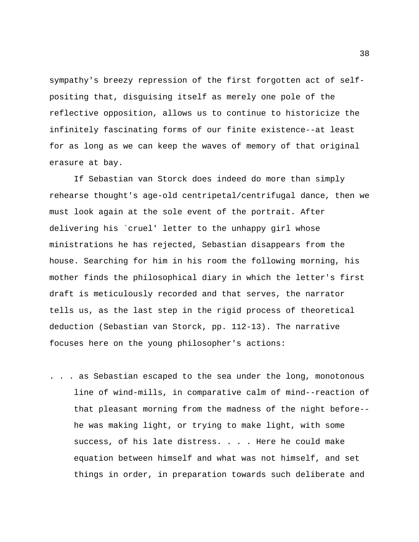sympathy's breezy repression of the first forgotten act of selfpositing that, disguising itself as merely one pole of the reflective opposition, allows us to continue to historicize the infinitely fascinating forms of our finite existence--at least for as long as we can keep the waves of memory of that original erasure at bay.

If Sebastian van Storck does indeed do more than simply rehearse thought's age-old centripetal/centrifugal dance, then we must look again at the sole event of the portrait. After delivering his `cruel' letter to the unhappy girl whose ministrations he has rejected, Sebastian disappears from the house. Searching for him in his room the following morning, his mother finds the philosophical diary in which the letter's first draft is meticulously recorded and that serves, the narrator tells us, as the last step in the rigid process of theoretical deduction (Sebastian van Storck, pp. 112-13). The narrative focuses here on the young philosopher's actions:

. . . as Sebastian escaped to the sea under the long, monotonous line of wind-mills, in comparative calm of mind--reaction of that pleasant morning from the madness of the night before- he was making light, or trying to make light, with some success, of his late distress. . . . Here he could make equation between himself and what was not himself, and set things in order, in preparation towards such deliberate and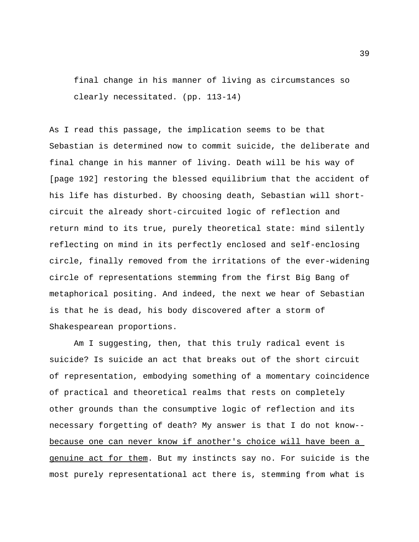final change in his manner of living as circumstances so clearly necessitated. (pp. 113-14)

As I read this passage, the implication seems to be that Sebastian is determined now to commit suicide, the deliberate and final change in his manner of living. Death will be his way of [page 192] restoring the blessed equilibrium that the accident of his life has disturbed. By choosing death, Sebastian will shortcircuit the already short-circuited logic of reflection and return mind to its true, purely theoretical state: mind silently reflecting on mind in its perfectly enclosed and self-enclosing circle, finally removed from the irritations of the ever-widening circle of representations stemming from the first Big Bang of metaphorical positing. And indeed, the next we hear of Sebastian is that he is dead, his body discovered after a storm of Shakespearean proportions.

Am I suggesting, then, that this truly radical event is suicide? Is suicide an act that breaks out of the short circuit of representation, embodying something of a momentary coincidence of practical and theoretical realms that rests on completely other grounds than the consumptive logic of reflection and its necessary forgetting of death? My answer is that I do not know- because one can never know if another's choice will have been a genuine act for them. But my instincts say no. For suicide is the most purely representational act there is, stemming from what is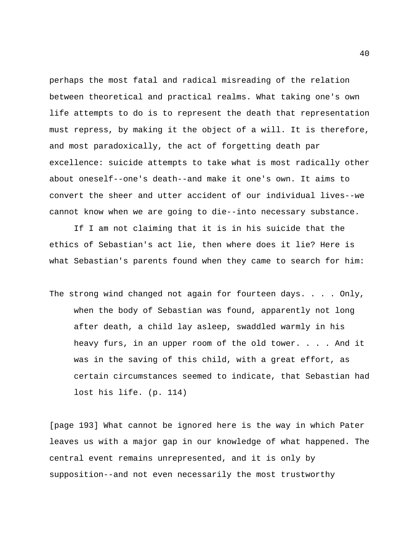perhaps the most fatal and radical misreading of the relation between theoretical and practical realms. What taking one's own life attempts to do is to represent the death that representation must repress, by making it the object of a will. It is therefore, and most paradoxically, the act of forgetting death par excellence: suicide attempts to take what is most radically other about oneself--one's death--and make it one's own. It aims to convert the sheer and utter accident of our individual lives--we cannot know when we are going to die--into necessary substance.

If I am not claiming that it is in his suicide that the ethics of Sebastian's act lie, then where does it lie? Here is what Sebastian's parents found when they came to search for him:

The strong wind changed not again for fourteen days. . . . Only, when the body of Sebastian was found, apparently not long after death, a child lay asleep, swaddled warmly in his heavy furs, in an upper room of the old tower. . . . And it was in the saving of this child, with a great effort, as certain circumstances seemed to indicate, that Sebastian had lost his life. (p. 114)

[page 193] What cannot be ignored here is the way in which Pater leaves us with a major gap in our knowledge of what happened. The central event remains unrepresented, and it is only by supposition--and not even necessarily the most trustworthy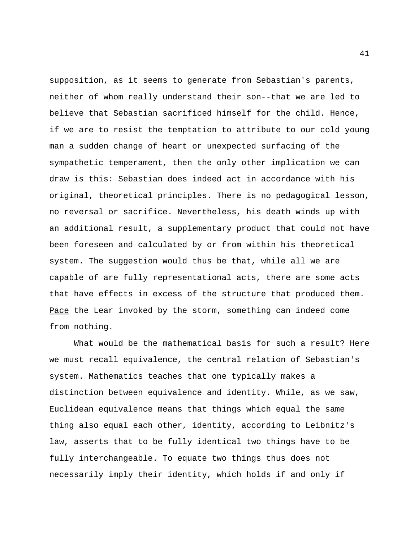supposition, as it seems to generate from Sebastian's parents, neither of whom really understand their son--that we are led to believe that Sebastian sacrificed himself for the child. Hence, if we are to resist the temptation to attribute to our cold young man a sudden change of heart or unexpected surfacing of the sympathetic temperament, then the only other implication we can draw is this: Sebastian does indeed act in accordance with his original, theoretical principles. There is no pedagogical lesson, no reversal or sacrifice. Nevertheless, his death winds up with an additional result, a supplementary product that could not have been foreseen and calculated by or from within his theoretical system. The suggestion would thus be that, while all we are capable of are fully representational acts, there are some acts that have effects in excess of the structure that produced them. Pace the Lear invoked by the storm, something can indeed come from nothing.

What would be the mathematical basis for such a result? Here we must recall equivalence, the central relation of Sebastian's system. Mathematics teaches that one typically makes a distinction between equivalence and identity. While, as we saw, Euclidean equivalence means that things which equal the same thing also equal each other, identity, according to Leibnitz's law, asserts that to be fully identical two things have to be fully interchangeable. To equate two things thus does not necessarily imply their identity, which holds if and only if

41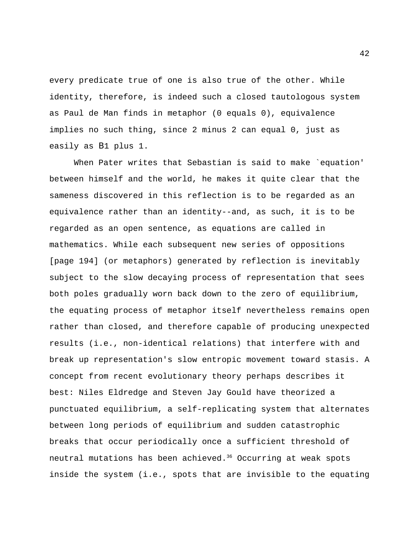every predicate true of one is also true of the other. While identity, therefore, is indeed such a closed tautologous system as Paul de Man finds in metaphor (0 equals 0), equivalence implies no such thing, since 2 minus 2 can equal 0, just as easily as B1 plus 1.

When Pater writes that Sebastian is said to make `equation' between himself and the world, he makes it quite clear that the sameness discovered in this reflection is to be regarded as an equivalence rather than an identity--and, as such, it is to be regarded as an open sentence, as equations are called in mathematics. While each subsequent new series of oppositions [page 194] (or metaphors) generated by reflection is inevitably subject to the slow decaying process of representation that sees both poles gradually worn back down to the zero of equilibrium, the equating process of metaphor itself nevertheless remains open rather than closed, and therefore capable of producing unexpected results (i.e., non-identical relations) that interfere with and break up representation's slow entropic movement toward stasis. A concept from recent evolutionary theory perhaps describes it best: Niles Eldredge and Steven Jay Gould have theorized a punctuated equilibrium, a self-replicating system that alternates between long periods of equilibrium and sudden catastrophic breaks that occur periodically once a sufficient threshold of neutral mutations has been achieved.<sup>36</sup> Occurring at weak spots inside the system (i.e., spots that are invisible to the equating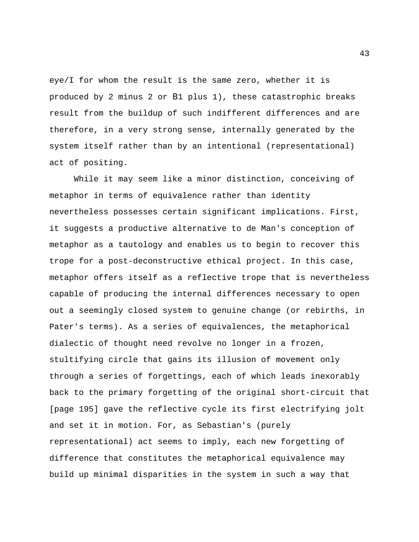eye/I for whom the result is the same zero, whether it is produced by 2 minus 2 or B1 plus 1), these catastrophic breaks result from the buildup of such indifferent differences and are therefore, in a very strong sense, internally generated by the system itself rather than by an intentional (representational) act of positing.

While it may seem like a minor distinction, conceiving of metaphor in terms of equivalence rather than identity nevertheless possesses certain significant implications. First, it suggests a productive alternative to de Man's conception of metaphor as a tautology and enables us to begin to recover this trope for a post-deconstructive ethical project. In this case, metaphor offers itself as a reflective trope that is nevertheless capable of producing the internal differences necessary to open out a seemingly closed system to genuine change (or rebirths, in Pater's terms). As a series of equivalences, the metaphorical dialectic of thought need revolve no longer in a frozen, stultifying circle that gains its illusion of movement only through a series of forgettings, each of which leads inexorably back to the primary forgetting of the original short-circuit that [page 195] gave the reflective cycle its first electrifying jolt and set it in motion. For, as Sebastian's (purely representational) act seems to imply, each new forgetting of difference that constitutes the metaphorical equivalence may build up minimal disparities in the system in such a way that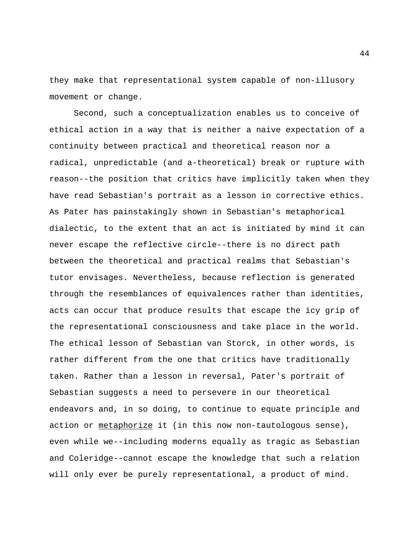they make that representational system capable of non-illusory movement or change.

Second, such a conceptualization enables us to conceive of ethical action in a way that is neither a naive expectation of a continuity between practical and theoretical reason nor a radical, unpredictable (and a-theoretical) break or rupture with reason--the position that critics have implicitly taken when they have read Sebastian's portrait as a lesson in corrective ethics. As Pater has painstakingly shown in Sebastian's metaphorical dialectic, to the extent that an act is initiated by mind it can never escape the reflective circle--there is no direct path between the theoretical and practical realms that Sebastian's tutor envisages. Nevertheless, because reflection is generated through the resemblances of equivalences rather than identities, acts can occur that produce results that escape the icy grip of the representational consciousness and take place in the world. The ethical lesson of Sebastian van Storck, in other words, is rather different from the one that critics have traditionally taken. Rather than a lesson in reversal, Pater's portrait of Sebastian suggests a need to persevere in our theoretical endeavors and, in so doing, to continue to equate principle and action or metaphorize it (in this now non-tautologous sense), even while we--including moderns equally as tragic as Sebastian and Coleridge--cannot escape the knowledge that such a relation will only ever be purely representational, a product of mind.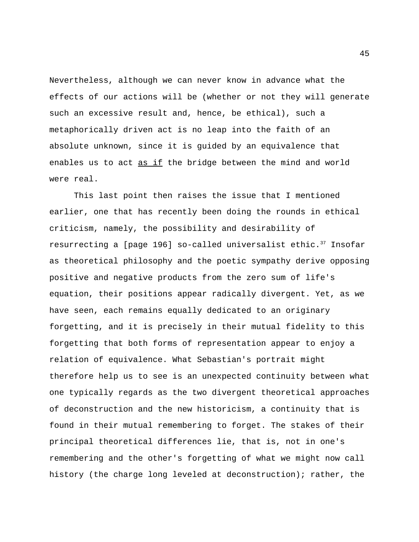Nevertheless, although we can never know in advance what the effects of our actions will be (whether or not they will generate such an excessive result and, hence, be ethical), such a metaphorically driven act is no leap into the faith of an absolute unknown, since it is guided by an equivalence that enables us to act as if the bridge between the mind and world were real.

This last point then raises the issue that I mentioned earlier, one that has recently been doing the rounds in ethical criticism, namely, the possibility and desirability of resurrecting a [page 196] so-called universalist ethic.<sup>37</sup> Insofar as theoretical philosophy and the poetic sympathy derive opposing positive and negative products from the zero sum of life's equation, their positions appear radically divergent. Yet, as we have seen, each remains equally dedicated to an originary forgetting, and it is precisely in their mutual fidelity to this forgetting that both forms of representation appear to enjoy a relation of equivalence. What Sebastian's portrait might therefore help us to see is an unexpected continuity between what one typically regards as the two divergent theoretical approaches of deconstruction and the new historicism, a continuity that is found in their mutual remembering to forget. The stakes of their principal theoretical differences lie, that is, not in one's remembering and the other's forgetting of what we might now call history (the charge long leveled at deconstruction); rather, the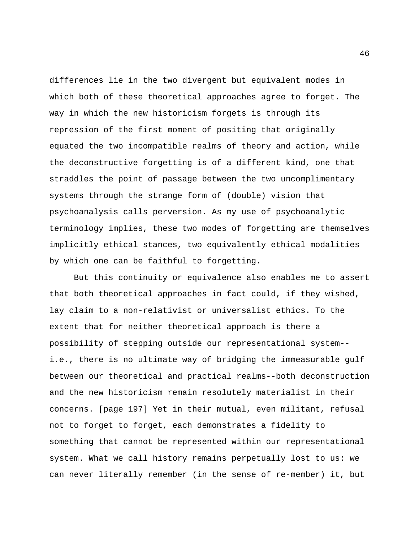differences lie in the two divergent but equivalent modes in which both of these theoretical approaches agree to forget. The way in which the new historicism forgets is through its repression of the first moment of positing that originally equated the two incompatible realms of theory and action, while the deconstructive forgetting is of a different kind, one that straddles the point of passage between the two uncomplimentary systems through the strange form of (double) vision that psychoanalysis calls perversion. As my use of psychoanalytic terminology implies, these two modes of forgetting are themselves implicitly ethical stances, two equivalently ethical modalities by which one can be faithful to forgetting.

But this continuity or equivalence also enables me to assert that both theoretical approaches in fact could, if they wished, lay claim to a non-relativist or universalist ethics. To the extent that for neither theoretical approach is there a possibility of stepping outside our representational system- i.e., there is no ultimate way of bridging the immeasurable gulf between our theoretical and practical realms--both deconstruction and the new historicism remain resolutely materialist in their concerns. [page 197] Yet in their mutual, even militant, refusal not to forget to forget, each demonstrates a fidelity to something that cannot be represented within our representational system. What we call history remains perpetually lost to us: we can never literally remember (in the sense of re-member) it, but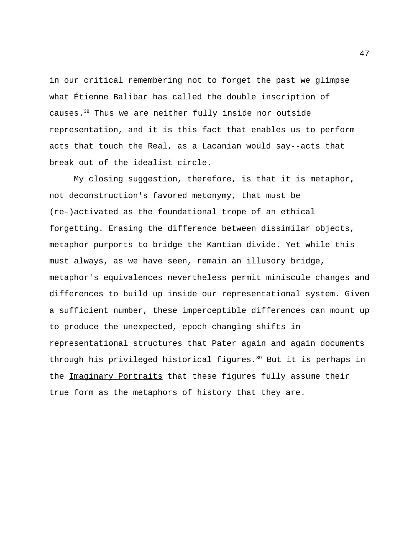in our critical remembering not to forget the past we glimpse what Étienne Balibar has called the double inscription of causes.<sup>38</sup> Thus we are neither fully inside nor outside representation, and it is this fact that enables us to perform acts that touch the Real, as a Lacanian would say--acts that break out of the idealist circle.

My closing suggestion, therefore, is that it is metaphor, not deconstruction's favored metonymy, that must be (re-)activated as the foundational trope of an ethical forgetting. Erasing the difference between dissimilar objects, metaphor purports to bridge the Kantian divide. Yet while this must always, as we have seen, remain an illusory bridge, metaphor's equivalences nevertheless permit miniscule changes and differences to build up inside our representational system. Given a sufficient number, these imperceptible differences can mount up to produce the unexpected, epoch-changing shifts in representational structures that Pater again and again documents through his privileged historical figures.<sup>39</sup> But it is perhaps in the Imaginary Portraits that these figures fully assume their true form as the metaphors of history that they are.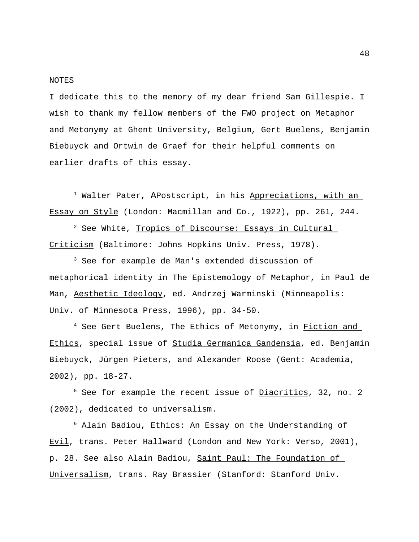#### NOTES

I dedicate this to the memory of my dear friend Sam Gillespie. I wish to thank my fellow members of the FWO project on Metaphor and Metonymy at Ghent University, Belgium, Gert Buelens, Benjamin Biebuyck and Ortwin de Graef for their helpful comments on earlier drafts of this essay.

<sup>1</sup> Walter Pater, APostscript, in his Appreciations, with an Essay on Style (London: Macmillan and Co., 1922), pp. 261, 244.

<sup>2</sup> See White, Tropics of Discourse: Essays in Cultural Criticism (Baltimore: Johns Hopkins Univ. Press, 1978).

<sup>3</sup> See for example de Man's extended discussion of metaphorical identity in The Epistemology of Metaphor, in Paul de Man, Aesthetic Ideology, ed. Andrzej Warminski (Minneapolis: Univ. of Minnesota Press, 1996), pp. 34-50.

<sup>4</sup> See Gert Buelens, The Ethics of Metonymy, in Fiction and Ethics, special issue of Studia Germanica Gandensia, ed. Benjamin Biebuyck, Jürgen Pieters, and Alexander Roose (Gent: Academia, 2002), pp. 18-27.

<sup>5</sup> See for example the recent issue of <u>Diacritics</u>, 32, no. 2 (2002), dedicated to universalism.

 $6$  Alain Badiou, Ethics: An Essay on the Understanding of Evil, trans. Peter Hallward (London and New York: Verso, 2001), p. 28. See also Alain Badiou, Saint Paul: The Foundation of Universalism, trans. Ray Brassier (Stanford: Stanford Univ.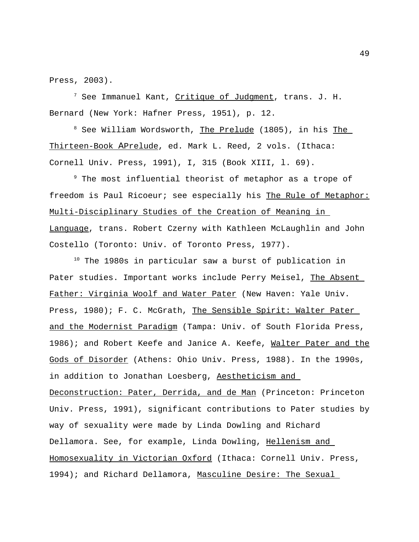Press, 2003).

<sup>7</sup> See Immanuel Kant, <u>Critique of Judgment</u>, trans. J. H. Bernard (New York: Hafner Press, 1951), p. 12.

<sup>8</sup> See William Wordsworth, The Prelude (1805), in his The Thirteen-Book APrelude, ed. Mark L. Reed, 2 vols. (Ithaca: Cornell Univ. Press, 1991), I, 315 (Book XIII, l. 69).

<sup>9</sup> The most influential theorist of metaphor as a trope of freedom is Paul Ricoeur; see especially his The Rule of Metaphor: Multi-Disciplinary Studies of the Creation of Meaning in Language, trans. Robert Czerny with Kathleen McLaughlin and John Costello (Toronto: Univ. of Toronto Press, 1977).

 $10$  The 1980s in particular saw a burst of publication in Pater studies. Important works include Perry Meisel, The Absent Father: Virginia Woolf and Water Pater (New Haven: Yale Univ. Press, 1980); F. C. McGrath, The Sensible Spirit: Walter Pater and the Modernist Paradigm (Tampa: Univ. of South Florida Press, 1986); and Robert Keefe and Janice A. Keefe, Walter Pater and the Gods of Disorder (Athens: Ohio Univ. Press, 1988). In the 1990s, in addition to Jonathan Loesberg, Aestheticism and Deconstruction: Pater, Derrida, and de Man (Princeton: Princeton Univ. Press, 1991), significant contributions to Pater studies by way of sexuality were made by Linda Dowling and Richard Dellamora. See, for example, Linda Dowling, Hellenism and Homosexuality in Victorian Oxford (Ithaca: Cornell Univ. Press, 1994); and Richard Dellamora, Masculine Desire: The Sexual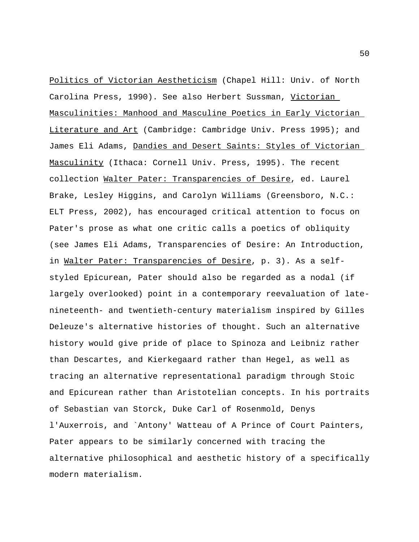Politics of Victorian Aestheticism (Chapel Hill: Univ. of North Carolina Press, 1990). See also Herbert Sussman, Victorian Masculinities: Manhood and Masculine Poetics in Early Victorian Literature and Art (Cambridge: Cambridge Univ. Press 1995); and James Eli Adams, Dandies and Desert Saints: Styles of Victorian Masculinity (Ithaca: Cornell Univ. Press, 1995). The recent collection Walter Pater: Transparencies of Desire, ed. Laurel Brake, Lesley Higgins, and Carolyn Williams (Greensboro, N.C.: ELT Press, 2002), has encouraged critical attention to focus on Pater's prose as what one critic calls a poetics of obliquity (see James Eli Adams, Transparencies of Desire: An Introduction, in Walter Pater: Transparencies of Desire, p. 3). As a selfstyled Epicurean, Pater should also be regarded as a nodal (if largely overlooked) point in a contemporary reevaluation of latenineteenth- and twentieth-century materialism inspired by Gilles Deleuze's alternative histories of thought. Such an alternative history would give pride of place to Spinoza and Leibniz rather than Descartes, and Kierkegaard rather than Hegel, as well as tracing an alternative representational paradigm through Stoic and Epicurean rather than Aristotelian concepts. In his portraits of Sebastian van Storck, Duke Carl of Rosenmold, Denys l'Auxerrois, and `Antony' Watteau of A Prince of Court Painters, Pater appears to be similarly concerned with tracing the alternative philosophical and aesthetic history of a specifically modern materialism.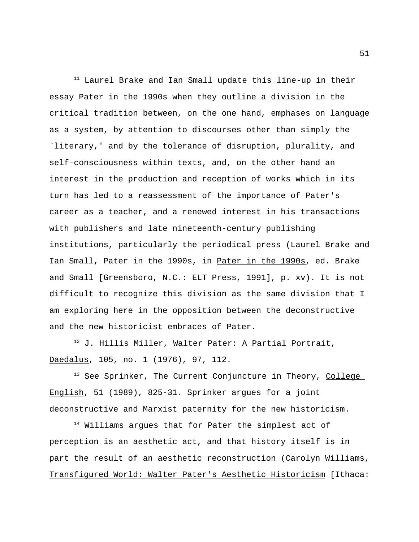$11$  Laurel Brake and Ian Small update this line-up in their essay Pater in the 1990s when they outline a division in the critical tradition between, on the one hand, emphases on language as a system, by attention to discourses other than simply the `literary,' and by the tolerance of disruption, plurality, and self-consciousness within texts, and, on the other hand an interest in the production and reception of works which in its turn has led to a reassessment of the importance of Pater's career as a teacher, and a renewed interest in his transactions with publishers and late nineteenth-century publishing institutions, particularly the periodical press (Laurel Brake and Ian Small, Pater in the 1990s, in Pater in the 1990s, ed. Brake and Small [Greensboro, N.C.: ELT Press, 1991], p. xv). It is not difficult to recognize this division as the same division that I am exploring here in the opposition between the deconstructive and the new historicist embraces of Pater.

<sup>12</sup> J. Hillis Miller, Walter Pater: A Partial Portrait, Daedalus, 105, no. 1 (1976), 97, 112.

<sup>13</sup> See Sprinker, The Current Conjuncture in Theory, College English, 51 (1989), 825-31. Sprinker argues for a joint deconstructive and Marxist paternity for the new historicism.

<sup>14</sup> Williams argues that for Pater the simplest act of perception is an aesthetic act, and that history itself is in part the result of an aesthetic reconstruction (Carolyn Williams, Transfigured World: Walter Pater's Aesthetic Historicism [Ithaca: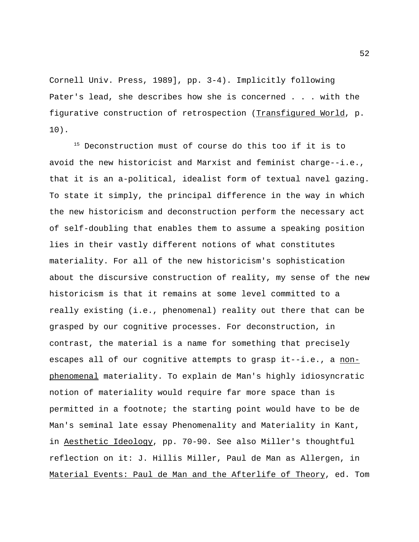Cornell Univ. Press, 1989], pp. 3-4). Implicitly following Pater's lead, she describes how she is concerned . . . with the figurative construction of retrospection (Transfigured World, p. 10).

<sup>15</sup> Deconstruction must of course do this too if it is to avoid the new historicist and Marxist and feminist charge--i.e., that it is an a-political, idealist form of textual navel gazing. To state it simply, the principal difference in the way in which the new historicism and deconstruction perform the necessary act of self-doubling that enables them to assume a speaking position lies in their vastly different notions of what constitutes materiality. For all of the new historicism's sophistication about the discursive construction of reality, my sense of the new historicism is that it remains at some level committed to a really existing (i.e., phenomenal) reality out there that can be grasped by our cognitive processes. For deconstruction, in contrast, the material is a name for something that precisely escapes all of our cognitive attempts to grasp it--i.e., a nonphenomenal materiality. To explain de Man's highly idiosyncratic notion of materiality would require far more space than is permitted in a footnote; the starting point would have to be de Man's seminal late essay Phenomenality and Materiality in Kant, in Aesthetic Ideology, pp. 70-90. See also Miller's thoughtful reflection on it: J. Hillis Miller, Paul de Man as Allergen, in Material Events: Paul de Man and the Afterlife of Theory, ed. Tom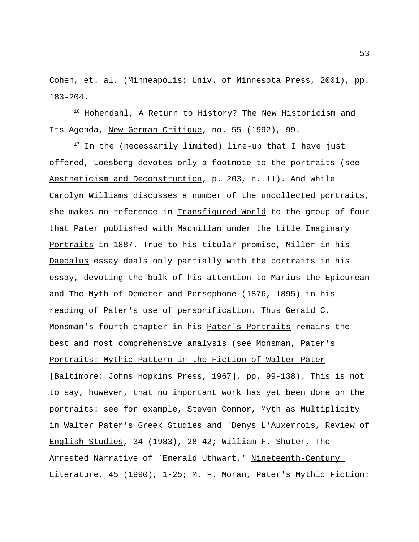Cohen, et. al. (Minneapolis: Univ. of Minnesota Press, 2001), pp. 183-204.

<sup>16</sup> Hohendahl, A Return to History? The New Historicism and Its Agenda, New German Critique, no. 55 (1992), 99.

 $17$  In the (necessarily limited) line-up that I have just offered, Loesberg devotes only a footnote to the portraits (see Aestheticism and Deconstruction, p. 203, n. 11). And while Carolyn Williams discusses a number of the uncollected portraits, she makes no reference in Transfigured World to the group of four that Pater published with Macmillan under the title Imaginary Portraits in 1887. True to his titular promise, Miller in his Daedalus essay deals only partially with the portraits in his essay, devoting the bulk of his attention to Marius the Epicurean and The Myth of Demeter and Persephone (1876, 1895) in his reading of Pater's use of personification. Thus Gerald C. Monsman's fourth chapter in his Pater's Portraits remains the best and most comprehensive analysis (see Monsman, Pater's Portraits: Mythic Pattern in the Fiction of Walter Pater [Baltimore: Johns Hopkins Press, 1967], pp. 99-138). This is not to say, however, that no important work has yet been done on the portraits: see for example, Steven Connor, Myth as Multiplicity in Walter Pater's Greek Studies and `Denys L'Auxerrois, Review of English Studies, 34 (1983), 28-42; William F. Shuter, The Arrested Narrative of `Emerald Uthwart,' Nineteenth-Century Literature, 45 (1990), 1-25; M. F. Moran, Pater's Mythic Fiction: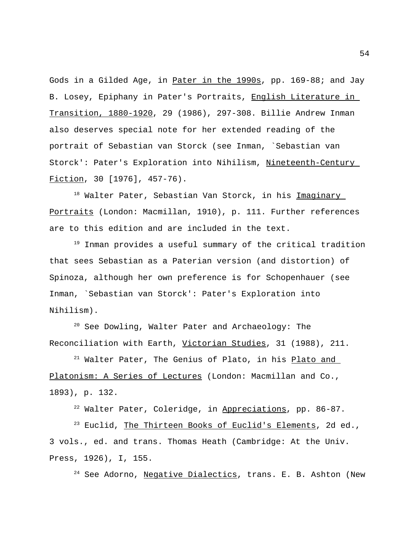Gods in a Gilded Age, in Pater in the 1990s, pp. 169-88; and Jay B. Losey, Epiphany in Pater's Portraits, English Literature in Transition, 1880-1920, 29 (1986), 297-308. Billie Andrew Inman also deserves special note for her extended reading of the portrait of Sebastian van Storck (see Inman, `Sebastian van Storck': Pater's Exploration into Nihilism, Nineteenth-Century Fiction, 30 [1976], 457-76).

<sup>18</sup> Walter Pater, Sebastian Van Storck, in his <u>Imaginary</u> Portraits (London: Macmillan, 1910), p. 111. Further references are to this edition and are included in the text.

<sup>19</sup> Inman provides a useful summary of the critical tradition that sees Sebastian as a Paterian version (and distortion) of Spinoza, although her own preference is for Schopenhauer (see Inman, `Sebastian van Storck': Pater's Exploration into Nihilism).

<sup>20</sup> See Dowling, Walter Pater and Archaeology: The Reconciliation with Earth, Victorian Studies, 31 (1988), 211.

<sup>21</sup> Walter Pater, The Genius of Plato, in his Plato and Platonism: A Series of Lectures (London: Macmillan and Co., 1893), p. 132.

<sup>22</sup> Walter Pater, Coleridge, in Appreciations, pp. 86-87.

<sup>23</sup> Euclid, The Thirteen Books of Euclid's Elements, 2d ed., 3 vols., ed. and trans. Thomas Heath (Cambridge: At the Univ. Press, 1926), I, 155.

24 See Adorno, Negative Dialectics, trans. E. B. Ashton (New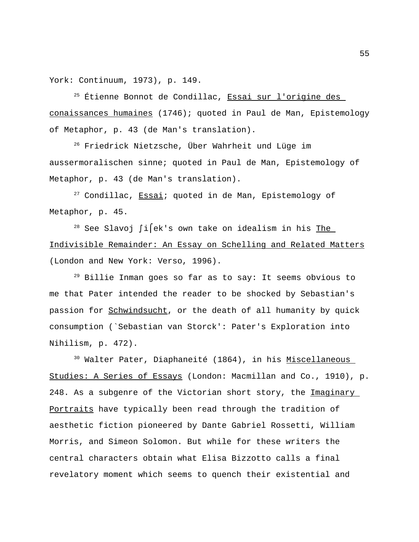York: Continuum, 1973), p. 149.

<sup>25</sup> Étienne Bonnot de Condillac, <u>Essai sur l'origine des</u> conaissances humaines (1746); quoted in Paul de Man, Epistemology of Metaphor, p. 43 (de Man's translation).

 $26$  Friedrick Nietzsche, Über Wahrheit und Lüge im aussermoralischen sinne; quoted in Paul de Man, Epistemology of Metaphor, p. 43 (de Man's translation).

 $27$  Condillac,  $Essa\overline{1}$ ; quoted in de Man, Epistemology of Metaphor, p. 45.

<sup>28</sup> See Slavoj ∫i ek's own take on idealism in his The Indivisible Remainder: An Essay on Schelling and Related Matters (London and New York: Verso, 1996).

<sup>29</sup> Billie Inman goes so far as to say: It seems obvious to me that Pater intended the reader to be shocked by Sebastian's passion for Schwindsucht, or the death of all humanity by quick consumption (`Sebastian van Storck': Pater's Exploration into Nihilism, p. 472).

<sup>30</sup> Walter Pater, Diaphaneité (1864), in his <u>Miscellaneous</u> Studies: A Series of Essays (London: Macmillan and Co., 1910), p. 248. As a subgenre of the Victorian short story, the Imaginary Portraits have typically been read through the tradition of aesthetic fiction pioneered by Dante Gabriel Rossetti, William Morris, and Simeon Solomon. But while for these writers the central characters obtain what Elisa Bizzotto calls a final revelatory moment which seems to quench their existential and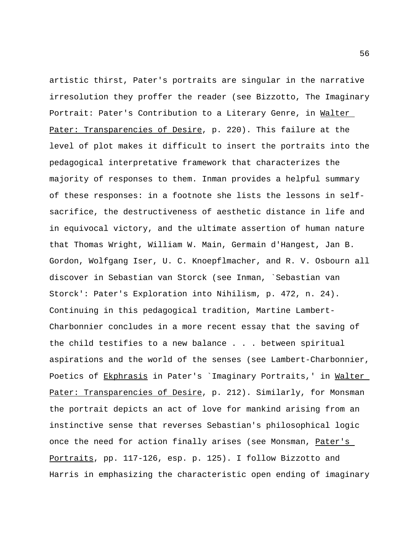artistic thirst, Pater's portraits are singular in the narrative irresolution they proffer the reader (see Bizzotto, The Imaginary Portrait: Pater's Contribution to a Literary Genre, in Walter Pater: Transparencies of Desire, p. 220). This failure at the level of plot makes it difficult to insert the portraits into the pedagogical interpretative framework that characterizes the majority of responses to them. Inman provides a helpful summary of these responses: in a footnote she lists the lessons in selfsacrifice, the destructiveness of aesthetic distance in life and in equivocal victory, and the ultimate assertion of human nature that Thomas Wright, William W. Main, Germain d'Hangest, Jan B. Gordon, Wolfgang Iser, U. C. Knoepflmacher, and R. V. Osbourn all discover in Sebastian van Storck (see Inman, `Sebastian van Storck': Pater's Exploration into Nihilism, p. 472, n. 24). Continuing in this pedagogical tradition, Martine Lambert-Charbonnier concludes in a more recent essay that the saving of the child testifies to a new balance . . . between spiritual aspirations and the world of the senses (see Lambert-Charbonnier, Poetics of Ekphrasis in Pater's Imaginary Portraits, ' in Walter Pater: Transparencies of Desire, p. 212). Similarly, for Monsman the portrait depicts an act of love for mankind arising from an instinctive sense that reverses Sebastian's philosophical logic once the need for action finally arises (see Monsman, Pater's Portraits, pp. 117-126, esp. p. 125). I follow Bizzotto and Harris in emphasizing the characteristic open ending of imaginary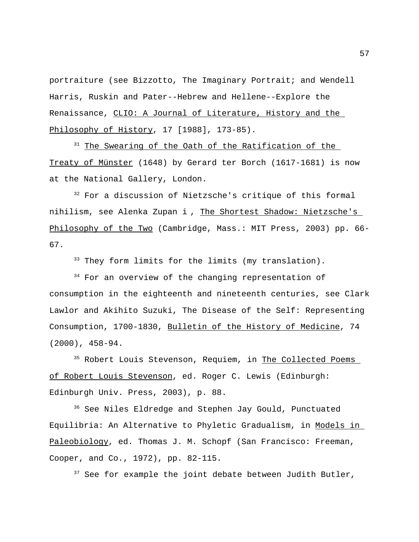portraiture (see Bizzotto, The Imaginary Portrait; and Wendell Harris, Ruskin and Pater--Hebrew and Hellene--Explore the Renaissance, CLIO: A Journal of Literature, History and the Philosophy of History, 17 [1988], 173-85).

<sup>31</sup> The Swearing of the Oath of the Ratification of the Treaty of Münster (1648) by Gerard ter Borch (1617-1681) is now at the National Gallery, London.

<sup>32</sup> For a discussion of Nietzsche's critique of this formal nihilism, see Alenka Zupan i, The Shortest Shadow: Nietzsche's Philosophy of the Two (Cambridge, Mass.: MIT Press, 2003) pp. 66- 67.

<sup>33</sup> They form limits for the limits (my translation).

<sup>34</sup> For an overview of the changing representation of consumption in the eighteenth and nineteenth centuries, see Clark Lawlor and Akihito Suzuki, The Disease of the Self: Representing Consumption, 1700-1830, Bulletin of the History of Medicine, 74 (2000), 458-94.

<sup>35</sup> Robert Louis Stevenson, Requiem, in The Collected Poems of Robert Louis Stevenson, ed. Roger C. Lewis (Edinburgh: Edinburgh Univ. Press, 2003), p. 88.

<sup>36</sup> See Niles Eldredge and Stephen Jay Gould, Punctuated Equilibria: An Alternative to Phyletic Gradualism, in Models in Paleobiology, ed. Thomas J. M. Schopf (San Francisco: Freeman, Cooper, and Co., 1972), pp. 82-115.

 $37$  See for example the joint debate between Judith Butler,